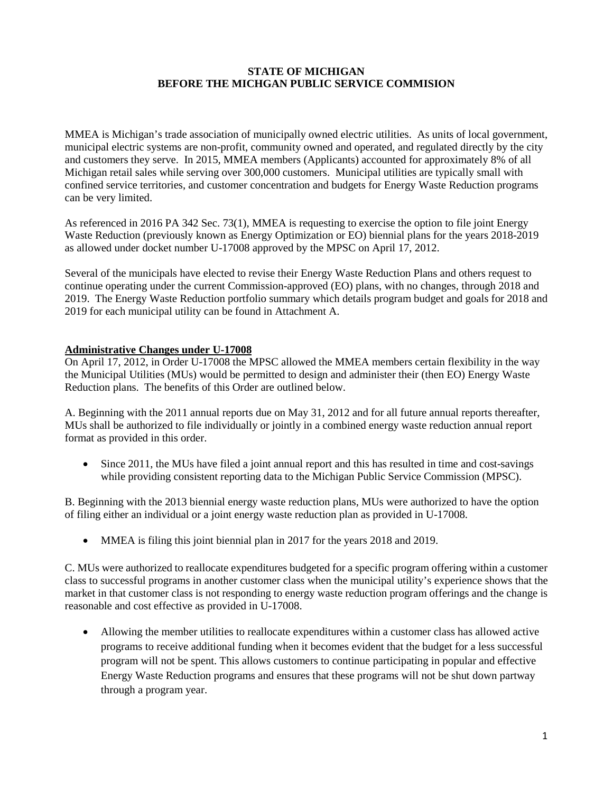#### **STATE OF MICHIGAN BEFORE THE MICHGAN PUBLIC SERVICE COMMISION**

MMEA is Michigan's trade association of municipally owned electric utilities. As units of local government, municipal electric systems are non-profit, community owned and operated, and regulated directly by the city and customers they serve. In 2015, MMEA members (Applicants) accounted for approximately 8% of all Michigan retail sales while serving over 300,000 customers. Municipal utilities are typically small with confined service territories, and customer concentration and budgets for Energy Waste Reduction programs can be very limited.

As referenced in 2016 PA 342 Sec. 73(1), MMEA is requesting to exercise the option to file joint Energy Waste Reduction (previously known as Energy Optimization or EO) biennial plans for the years 2018-2019 as allowed under docket number U-17008 approved by the MPSC on April 17, 2012.

Several of the municipals have elected to revise their Energy Waste Reduction Plans and others request to continue operating under the current Commission-approved (EO) plans, with no changes, through 2018 and 2019. The Energy Waste Reduction portfolio summary which details program budget and goals for 2018 and 2019 for each municipal utility can be found in Attachment A.

#### **Administrative Changes under U-17008**

On April 17, 2012, in Order U-17008 the MPSC allowed the MMEA members certain flexibility in the way the Municipal Utilities (MUs) would be permitted to design and administer their (then EO) Energy Waste Reduction plans. The benefits of this Order are outlined below.

A. Beginning with the 2011 annual reports due on May 31, 2012 and for all future annual reports thereafter, MUs shall be authorized to file individually or jointly in a combined energy waste reduction annual report format as provided in this order.

• Since 2011, the MUs have filed a joint annual report and this has resulted in time and cost-savings while providing consistent reporting data to the Michigan Public Service Commission (MPSC).

B. Beginning with the 2013 biennial energy waste reduction plans, MUs were authorized to have the option of filing either an individual or a joint energy waste reduction plan as provided in U-17008.

• MMEA is filing this joint biennial plan in 2017 for the years 2018 and 2019.

C. MUs were authorized to reallocate expenditures budgeted for a specific program offering within a customer class to successful programs in another customer class when the municipal utility's experience shows that the market in that customer class is not responding to energy waste reduction program offerings and the change is reasonable and cost effective as provided in U-17008.

• Allowing the member utilities to reallocate expenditures within a customer class has allowed active programs to receive additional funding when it becomes evident that the budget for a less successful program will not be spent. This allows customers to continue participating in popular and effective Energy Waste Reduction programs and ensures that these programs will not be shut down partway through a program year.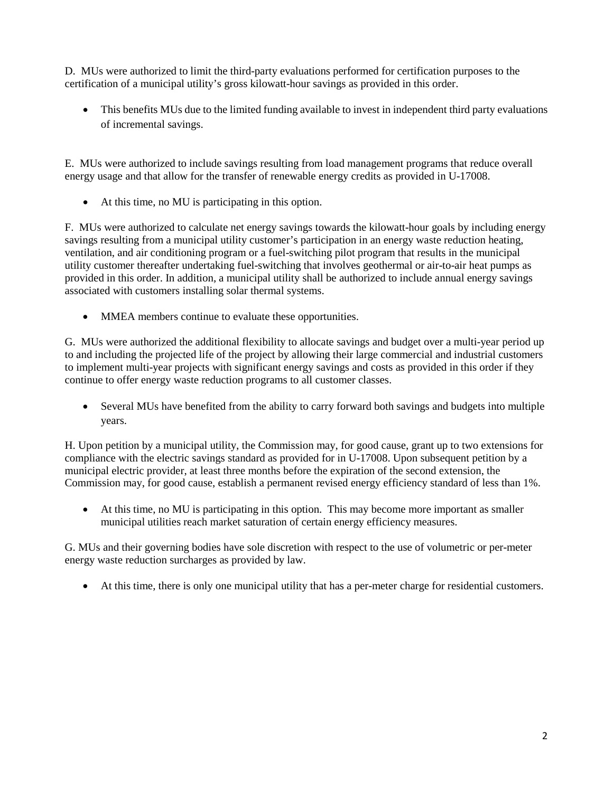D. MUs were authorized to limit the third-party evaluations performed for certification purposes to the certification of a municipal utility's gross kilowatt-hour savings as provided in this order.

• This benefits MUs due to the limited funding available to invest in independent third party evaluations of incremental savings.

E. MUs were authorized to include savings resulting from load management programs that reduce overall energy usage and that allow for the transfer of renewable energy credits as provided in U-17008.

• At this time, no MU is participating in this option.

F. MUs were authorized to calculate net energy savings towards the kilowatt-hour goals by including energy savings resulting from a municipal utility customer's participation in an energy waste reduction heating, ventilation, and air conditioning program or a fuel-switching pilot program that results in the municipal utility customer thereafter undertaking fuel-switching that involves geothermal or air-to-air heat pumps as provided in this order. In addition, a municipal utility shall be authorized to include annual energy savings associated with customers installing solar thermal systems.

• MMEA members continue to evaluate these opportunities.

G. MUs were authorized the additional flexibility to allocate savings and budget over a multi-year period up to and including the projected life of the project by allowing their large commercial and industrial customers to implement multi-year projects with significant energy savings and costs as provided in this order if they continue to offer energy waste reduction programs to all customer classes.

• Several MUs have benefited from the ability to carry forward both savings and budgets into multiple years.

H. Upon petition by a municipal utility, the Commission may, for good cause, grant up to two extensions for compliance with the electric savings standard as provided for in U-17008. Upon subsequent petition by a municipal electric provider, at least three months before the expiration of the second extension, the Commission may, for good cause, establish a permanent revised energy efficiency standard of less than 1%.

• At this time, no MU is participating in this option. This may become more important as smaller municipal utilities reach market saturation of certain energy efficiency measures.

G. MUs and their governing bodies have sole discretion with respect to the use of volumetric or per-meter energy waste reduction surcharges as provided by law.

• At this time, there is only one municipal utility that has a per-meter charge for residential customers.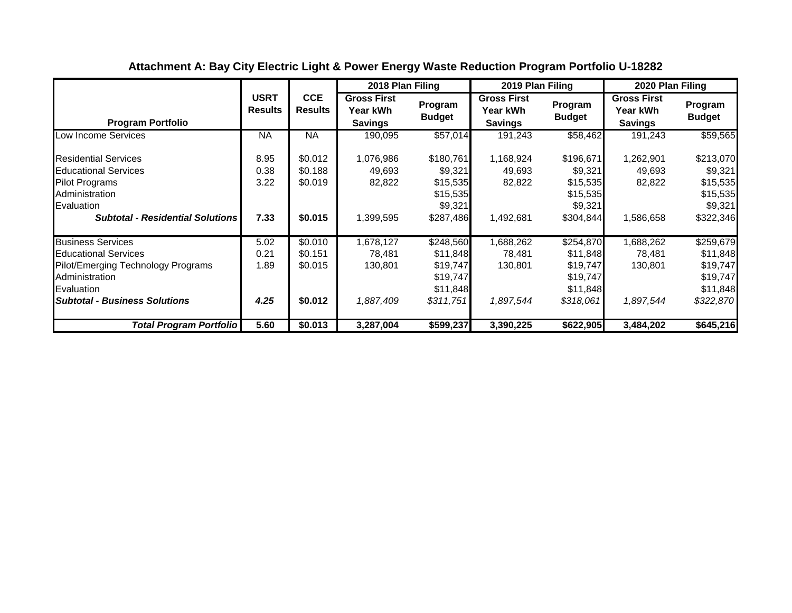|                                                                                                                                                                       |                               |                                          | 2018 Plan Filing                                 |                                                                        | 2019 Plan Filing                                 |                                                                        | 2020 Plan Filing                                 |                                                                        |
|-----------------------------------------------------------------------------------------------------------------------------------------------------------------------|-------------------------------|------------------------------------------|--------------------------------------------------|------------------------------------------------------------------------|--------------------------------------------------|------------------------------------------------------------------------|--------------------------------------------------|------------------------------------------------------------------------|
| <b>Program Portfolio</b>                                                                                                                                              | <b>USRT</b><br><b>Results</b> | <b>CCE</b><br><b>Results</b>             | <b>Gross First</b><br>Year kWh<br><b>Savings</b> | Program<br><b>Budget</b>                                               | <b>Gross First</b><br>Year kWh<br><b>Savings</b> | Program<br><b>Budget</b>                                               | <b>Gross First</b><br>Year kWh<br><b>Savings</b> | Program<br><b>Budget</b>                                               |
| Low Income Services                                                                                                                                                   | <b>NA</b>                     | <b>NA</b>                                | 190,095                                          | \$57,014                                                               | 191,243                                          | \$58,462                                                               | 191,243                                          | \$59,565                                                               |
| <b>Residential Services</b><br><b>Educational Services</b><br><b>Pilot Programs</b><br>Administration<br>Evaluation<br><b>Subtotal - Residential Solutions</b>        | 8.95<br>0.38<br>3.22<br>7.33  | \$0.012<br>\$0.188<br>\$0.019<br>\$0.015 | 1,076,986<br>49,693<br>82,822<br>1,399,595       | \$180,761<br>\$9,321<br>\$15,535<br>\$15,535<br>\$9,321<br>\$287,486   | 1,168,924<br>49,693<br>82,822<br>1,492,681       | \$196,671<br>\$9,321<br>\$15,535<br>\$15,535<br>\$9,321<br>\$304,844   | 1,262,901<br>49,693<br>82,822<br>1,586,658       | \$213,070<br>\$9,321<br>\$15,535<br>\$15,535<br>\$9,321<br>\$322,346   |
| <b>Business Services</b><br><b>Educational Services</b><br>Pilot/Emerging Technology Programs<br>Administration<br>Evaluation<br><b>Subtotal - Business Solutions</b> | 5.02<br>0.21<br>1.89<br>4.25  | \$0.010<br>\$0.151<br>\$0.015<br>\$0.012 | 1,678,127<br>78,481<br>130,801<br>1,887,409      | \$248,560<br>\$11,848<br>\$19,747<br>\$19,747<br>\$11,848<br>\$311,751 | 1,688,262<br>78,481<br>130,801<br>1,897,544      | \$254,870<br>\$11,848<br>\$19,747<br>\$19,747<br>\$11,848<br>\$318,061 | 1,688,262<br>78,481<br>130,801<br>1,897,544      | \$259,679<br>\$11,848<br>\$19,747<br>\$19,747<br>\$11,848<br>\$322,870 |
| Total Program Portfolio                                                                                                                                               | 5.60                          | \$0.013                                  | 3,287,004                                        | \$599,237                                                              | 3,390,225                                        | \$622,905                                                              | 3,484,202                                        | \$645,216                                                              |

# **Attachment A: Bay City Electric Light & Power Energy Waste Reduction Program Portfolio U-18282**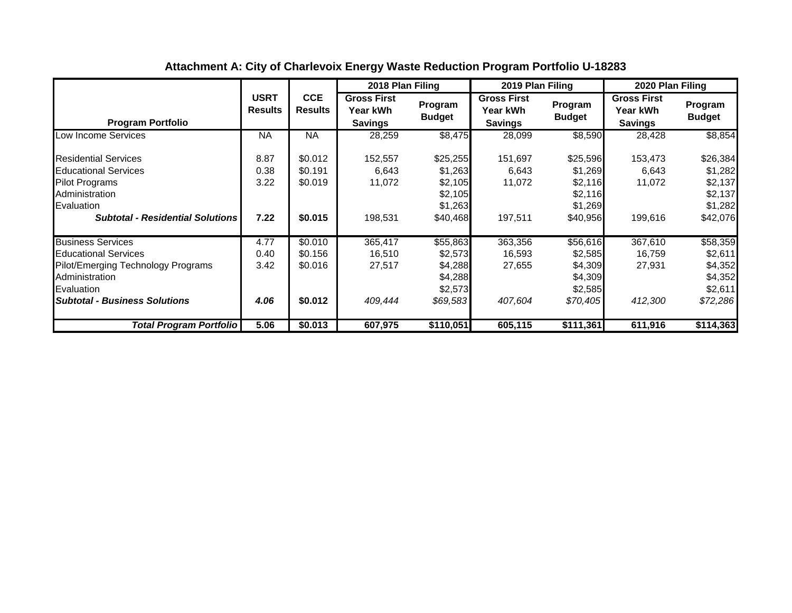|                                                                                                                                                                       |                               |                                          | 2018 Plan Filing                                 |                                                                  | 2019 Plan Filing                                 |                                                                  | 2020 Plan Filing                                 |                                                                  |
|-----------------------------------------------------------------------------------------------------------------------------------------------------------------------|-------------------------------|------------------------------------------|--------------------------------------------------|------------------------------------------------------------------|--------------------------------------------------|------------------------------------------------------------------|--------------------------------------------------|------------------------------------------------------------------|
| <b>Program Portfolio</b>                                                                                                                                              | <b>USRT</b><br><b>Results</b> | <b>CCE</b><br><b>Results</b>             | <b>Gross First</b><br>Year kWh<br><b>Savings</b> | Program<br><b>Budget</b>                                         | <b>Gross First</b><br>Year kWh<br><b>Savings</b> | Program<br><b>Budget</b>                                         | <b>Gross First</b><br>Year kWh<br><b>Savings</b> | Program<br><b>Budget</b>                                         |
| Low Income Services                                                                                                                                                   | <b>NA</b>                     | <b>NA</b>                                | 28,259                                           | \$8,475                                                          | 28,099                                           | \$8,590                                                          | 28,428                                           | \$8,854                                                          |
| <b>Residential Services</b><br><b>Educational Services</b><br><b>Pilot Programs</b><br>Administration<br>Evaluation<br><b>Subtotal - Residential Solutions</b>        | 8.87<br>0.38<br>3.22<br>7.22  | \$0.012<br>\$0.191<br>\$0.019<br>\$0.015 | 152,557<br>6,643<br>11,072<br>198,531            | \$25,255<br>\$1,263<br>\$2,105<br>\$2,105<br>\$1,263<br>\$40,468 | 151,697<br>6,643<br>11,072<br>197,511            | \$25,596<br>\$1,269<br>\$2,116<br>\$2,116<br>\$1,269<br>\$40,956 | 153,473<br>6,643<br>11,072<br>199,616            | \$26,384<br>\$1,282<br>\$2,137<br>\$2,137<br>\$1,282<br>\$42,076 |
| <b>Business Services</b><br><b>Educational Services</b><br>Pilot/Emerging Technology Programs<br>Administration<br>Evaluation<br><b>Subtotal - Business Solutions</b> | 4.77<br>0.40<br>3.42<br>4.06  | \$0.010<br>\$0.156<br>\$0.016<br>\$0.012 | 365,417<br>16,510<br>27,517<br>409,444           | \$55,863<br>\$2,573<br>\$4,288<br>\$4,288<br>\$2,573<br>\$69,583 | 363,356<br>16,593<br>27,655<br>407,604           | \$56,616<br>\$2,585<br>\$4,309<br>\$4,309<br>\$2,585<br>\$70,405 | 367,610<br>16,759<br>27,931<br>412,300           | \$58,359<br>\$2,611<br>\$4,352<br>\$4,352<br>\$2,611<br>\$72,286 |
| Total Program Portfolio                                                                                                                                               | 5.06                          | \$0.013                                  | 607,975                                          | \$110,051                                                        | 605,115                                          | \$111,361                                                        | 611,916                                          | \$114,363                                                        |

# **Attachment A: City of Charlevoix Energy Waste Reduction Program Portfolio U-18283**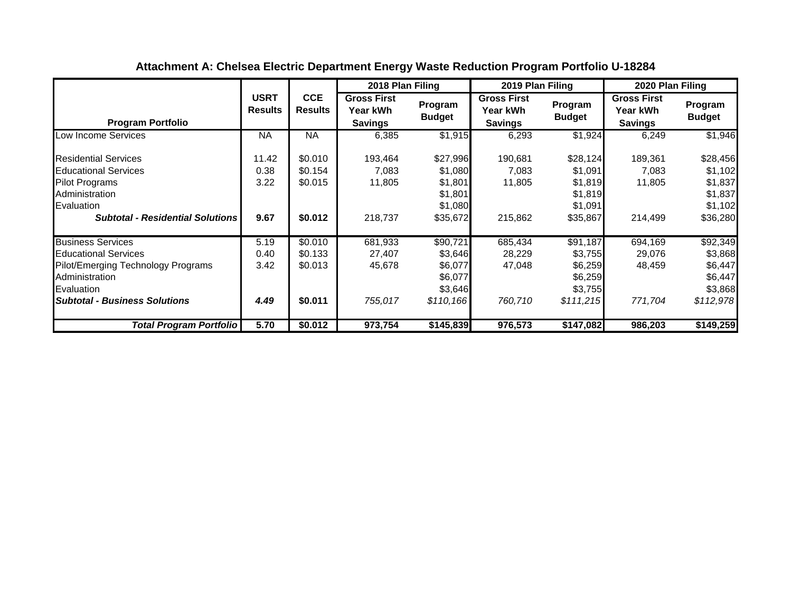|                                                                                                                                                                       |                               |                                          | 2018 Plan Filing                                 |                                                                   | 2019 Plan Filing                                 |                                                                   | 2020 Plan Filing                                        |                                                                   |
|-----------------------------------------------------------------------------------------------------------------------------------------------------------------------|-------------------------------|------------------------------------------|--------------------------------------------------|-------------------------------------------------------------------|--------------------------------------------------|-------------------------------------------------------------------|---------------------------------------------------------|-------------------------------------------------------------------|
| <b>Program Portfolio</b>                                                                                                                                              | <b>USRT</b><br><b>Results</b> | <b>CCE</b><br><b>Results</b>             | <b>Gross First</b><br>Year kWh<br><b>Savings</b> | Program<br><b>Budget</b>                                          | <b>Gross First</b><br>Year kWh<br><b>Savings</b> | Program<br><b>Budget</b>                                          | <b>Gross First</b><br><b>Year kWh</b><br><b>Savings</b> | Program<br><b>Budget</b>                                          |
| Low Income Services                                                                                                                                                   | <b>NA</b>                     | <b>NA</b>                                | 6,385                                            | \$1,915                                                           | 6,293                                            | \$1,924                                                           | 6,249                                                   | \$1,946                                                           |
| <b>Residential Services</b><br><b>Educational Services</b><br><b>Pilot Programs</b><br>Administration<br>Evaluation<br><b>Subtotal - Residential Solutions</b>        | 11.42<br>0.38<br>3.22<br>9.67 | \$0.010<br>\$0.154<br>\$0.015<br>\$0.012 | 193,464<br>7,083<br>11,805<br>218,737            | \$27,996<br>\$1,080<br>\$1,801<br>\$1,801<br>\$1,080<br>\$35,672  | 190,681<br>7,083<br>11,805<br>215,862            | \$28,124<br>\$1,091<br>\$1,819<br>\$1,819<br>\$1,091<br>\$35,867  | 189,361<br>7,083<br>11,805<br>214,499                   | \$28,456<br>\$1,102<br>\$1,837<br>\$1,837<br>\$1,102<br>\$36,280  |
| <b>Business Services</b><br><b>Educational Services</b><br>Pilot/Emerging Technology Programs<br>Administration<br>Evaluation<br><b>Subtotal - Business Solutions</b> | 5.19<br>0.40<br>3.42<br>4.49  | \$0.010<br>\$0.133<br>\$0.013<br>\$0.011 | 681,933<br>27,407<br>45,678<br>755,017           | \$90,721<br>\$3,646<br>\$6,077<br>\$6,077<br>\$3,646<br>\$110,166 | 685,434<br>28,229<br>47,048<br>760,710           | \$91,187<br>\$3,755<br>\$6,259<br>\$6,259<br>\$3,755<br>\$111,215 | 694,169<br>29,076<br>48,459<br>771,704                  | \$92,349<br>\$3,868<br>\$6,447<br>\$6,447<br>\$3,868<br>\$112,978 |
| <b>Total Program Portfolio</b>                                                                                                                                        | 5.70                          | \$0.012                                  | 973,754                                          | \$145,839                                                         | 976,573                                          | \$147,082                                                         | 986,203                                                 | \$149,259                                                         |

# **Attachment A: Chelsea Electric Department Energy Waste Reduction Program Portfolio U-18284**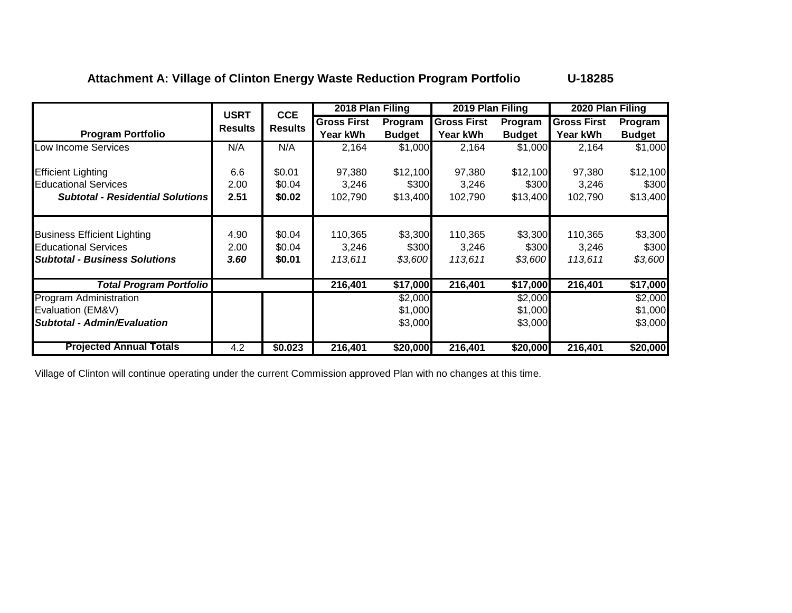## **Attachment A: Village of Clinton Energy Waste Reduction Program Portfolio U-18285**

|                                                                                                           | <b>USRT</b>          |                              | 2018 Plan Filing            |                             | 2019 Plan Filing            |                             | 2020 Plan Filing            |                             |
|-----------------------------------------------------------------------------------------------------------|----------------------|------------------------------|-----------------------------|-----------------------------|-----------------------------|-----------------------------|-----------------------------|-----------------------------|
|                                                                                                           | <b>Results</b>       | <b>CCE</b><br><b>Results</b> | <b>Gross First</b>          | Program                     | <b>Gross First</b>          | Program                     | <b>Gross First</b>          | Program                     |
| <b>Program Portfolio</b>                                                                                  |                      |                              | Year kWh                    | <b>Budget</b>               | Year kWh                    | <b>Budget</b>               | Year kWh                    | <b>Budget</b>               |
| Low Income Services                                                                                       | N/A                  | N/A                          | 2,164                       | \$1,000                     | 2,164                       | \$1,000                     | 2,164                       | \$1,000                     |
| <b>Efficient Lighting</b>                                                                                 | 6.6                  | \$0.01                       | 97,380                      | \$12,100                    | 97,380                      | \$12,100                    | 97,380                      | \$12,100                    |
| <b>Educational Services</b>                                                                               | 2.00                 | \$0.04                       | 3,246                       | \$300                       | 3,246                       | \$300                       | 3,246                       | \$300                       |
| <b>Subtotal - Residential Solutions</b>                                                                   | 2.51                 | \$0.02                       | 102,790                     | \$13,400                    | 102,790                     | \$13,400                    | 102,790                     | \$13,400                    |
| <b>Business Efficient Lighting</b><br><b>Educational Services</b><br><b>Subtotal - Business Solutions</b> | 4.90<br>2.00<br>3.60 | \$0.04<br>\$0.04<br>\$0.01   | 110,365<br>3.246<br>113,611 | \$3,300<br>\$300<br>\$3,600 | 110,365<br>3.246<br>113,611 | \$3,300<br>\$300<br>\$3,600 | 110,365<br>3,246<br>113,611 | \$3,300<br>\$300<br>\$3,600 |
| <b>Total Program Portfolio</b>                                                                            |                      |                              | 216,401                     | \$17,000                    | 216,401                     | \$17,000                    | 216,401                     | \$17,000                    |
| <b>Program Administration</b>                                                                             |                      |                              |                             | \$2,000                     |                             | \$2,000                     |                             | \$2,000                     |
| Evaluation (EM&V)                                                                                         |                      |                              |                             | \$1,000                     |                             | \$1,000                     |                             | \$1,000                     |
| <b>Subtotal - Admin/Evaluation</b>                                                                        |                      |                              |                             | \$3,000                     |                             | \$3,000                     |                             | \$3,000                     |
| <b>Projected Annual Totals</b>                                                                            | 4.2                  | \$0.023                      | 216,401                     | \$20,000                    | 216,401                     | \$20,000                    | 216,401                     | \$20,000                    |

Village of Clinton will continue operating under the current Commission approved Plan with no changes at this time.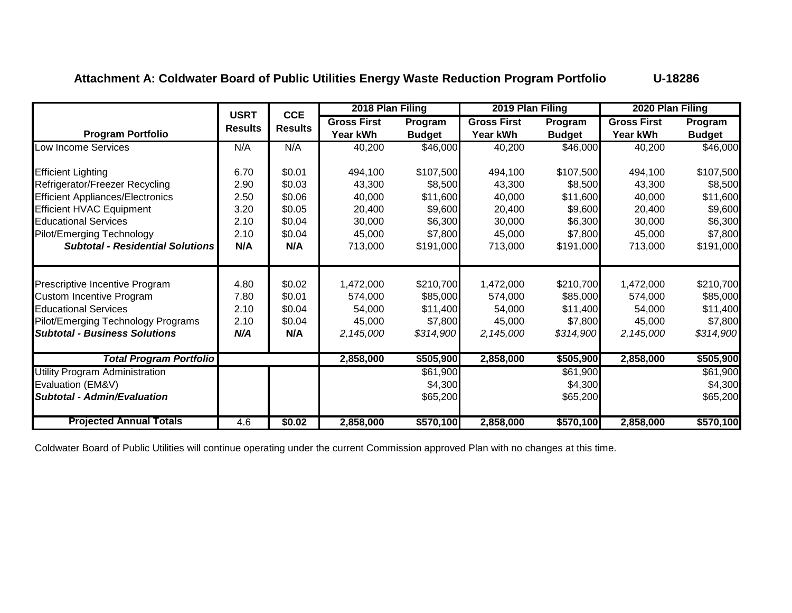**Attachment A: Coldwater Board of Public Utilities Energy Waste Reduction Program Portfolio U-18286**

|                                         | <b>USRT</b>    | <b>CCE</b>     | 2018 Plan Filing   |               | 2019 Plan Filing   |               | 2020 Plan Filing   |               |
|-----------------------------------------|----------------|----------------|--------------------|---------------|--------------------|---------------|--------------------|---------------|
|                                         | <b>Results</b> | <b>Results</b> | <b>Gross First</b> | Program       | <b>Gross First</b> | Program       | <b>Gross First</b> | Program       |
| <b>Program Portfolio</b>                |                |                | Year kWh           | <b>Budget</b> | Year kWh           | <b>Budget</b> | Year kWh           | <b>Budget</b> |
| Low Income Services                     | N/A            | N/A            | 40,200             | \$46,000      | 40,200             | \$46,000      | 40,200             | \$46,000      |
| <b>Efficient Lighting</b>               | 6.70           | \$0.01         | 494,100            | \$107,500     | 494,100            | \$107,500     | 494,100            | \$107,500     |
| Refrigerator/Freezer Recycling          | 2.90           | \$0.03         | 43,300             | \$8,500       | 43,300             | \$8,500       | 43,300             | \$8,500       |
| <b>Efficient Appliances/Electronics</b> | 2.50           | \$0.06         | 40,000             | \$11,600      | 40,000             | \$11,600      | 40,000             | \$11,600      |
| <b>Efficient HVAC Equipment</b>         | 3.20           | \$0.05         | 20,400             | \$9,600       | 20,400             | \$9,600       | 20,400             | \$9,600       |
| <b>Educational Services</b>             | 2.10           | \$0.04         | 30,000             | \$6,300       | 30,000             | \$6,300       | 30,000             | \$6,300       |
| Pilot/Emerging Technology               | 2.10           | \$0.04         | 45,000             | \$7,800       | 45,000             | \$7,800       | 45,000             | \$7,800       |
| <b>Subtotal - Residential Solutions</b> | N/A            | N/A            | 713,000            | \$191,000     | 713,000            | \$191,000     | 713,000            | \$191,000     |
|                                         |                |                |                    |               |                    |               |                    |               |
| Prescriptive Incentive Program          | 4.80           | \$0.02         | 1,472,000          | \$210,700     | 1,472,000          | \$210,700     | 1,472,000          | \$210,700     |
| <b>Custom Incentive Program</b>         | 7.80           | \$0.01         | 574,000            | \$85,000      | 574,000            | \$85,000      | 574,000            | \$85,000      |
| <b>Educational Services</b>             | 2.10           | \$0.04         | 54,000             | \$11,400      | 54,000             | \$11,400      | 54,000             | \$11,400      |
| Pilot/Emerging Technology Programs      | 2.10           | \$0.04         | 45,000             | \$7,800       | 45,000             | \$7,800       | 45,000             | \$7,800       |
| <b>Subtotal - Business Solutions</b>    | N/A            | N/A            | 2,145,000          | \$314,900     | 2,145,000          | \$314,900     | 2,145,000          | \$314,900     |
| <b>Total Program Portfolio</b>          |                |                | 2,858,000          | \$505,900     | 2,858,000          | \$505,900     | 2,858,000          | \$505,900     |
| <b>Utility Program Administration</b>   |                |                |                    | \$61,900      |                    | \$61,900      |                    | \$61,900      |
| Evaluation (EM&V)                       |                |                |                    | \$4,300       |                    | \$4,300       |                    | \$4,300       |
| <b>Subtotal - Admin/Evaluation</b>      |                |                |                    | \$65,200      |                    | \$65,200      |                    | \$65,200      |
| <b>Projected Annual Totals</b>          | 4.6            | \$0.02         | 2,858,000          | \$570,100     | 2,858,000          | \$570,100     | 2,858,000          | \$570,100     |

Coldwater Board of Public Utilities will continue operating under the current Commission approved Plan with no changes at this time.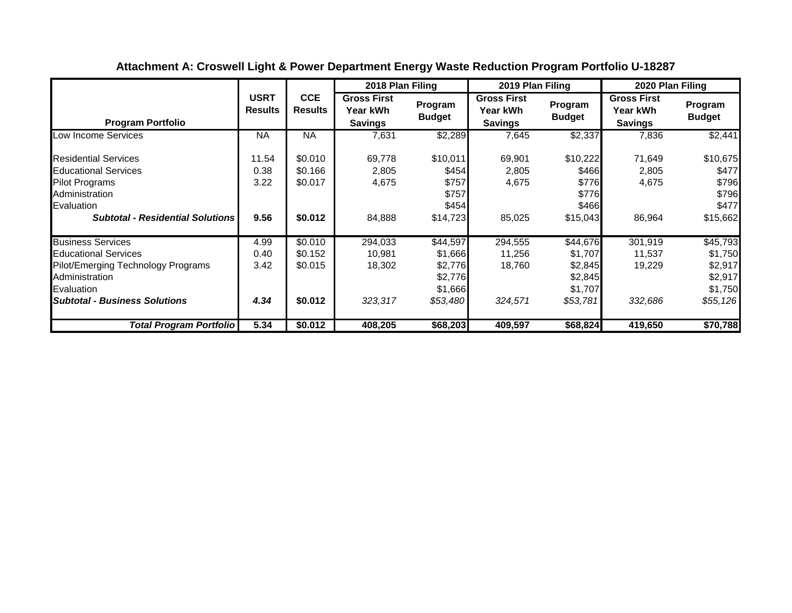|                                                                                                                                                                       |                               |                                          | 2018 Plan Filing                                 |                                                                  | 2019 Plan Filing                                 |                                                                  | 2020 Plan Filing                                 |                                                                  |
|-----------------------------------------------------------------------------------------------------------------------------------------------------------------------|-------------------------------|------------------------------------------|--------------------------------------------------|------------------------------------------------------------------|--------------------------------------------------|------------------------------------------------------------------|--------------------------------------------------|------------------------------------------------------------------|
| <b>Program Portfolio</b>                                                                                                                                              | <b>USRT</b><br><b>Results</b> | <b>CCE</b><br><b>Results</b>             | <b>Gross First</b><br>Year kWh<br><b>Savings</b> | Program<br><b>Budget</b>                                         | <b>Gross First</b><br>Year kWh<br><b>Savings</b> | Program<br><b>Budget</b>                                         | <b>Gross First</b><br>Year kWh<br><b>Savings</b> | Program<br><b>Budget</b>                                         |
| Low Income Services                                                                                                                                                   | <b>NA</b>                     | <b>NA</b>                                | 7,631                                            | \$2,289                                                          | 7,645                                            | \$2,337                                                          | 7,836                                            | \$2,441                                                          |
| <b>Residential Services</b><br><b>Educational Services</b><br><b>Pilot Programs</b><br>Administration<br>Evaluation<br><b>Subtotal - Residential Solutions</b>        | 11.54<br>0.38<br>3.22<br>9.56 | \$0.010<br>\$0.166<br>\$0.017<br>\$0.012 | 69,778<br>2,805<br>4,675<br>84,888               | \$10,011<br>\$454<br>\$757<br>\$757<br>\$454<br>\$14,723         | 69,901<br>2,805<br>4,675<br>85,025               | \$10,222<br>\$466<br>\$776<br>\$776<br>\$466<br>\$15,043         | 71,649<br>2,805<br>4,675<br>86,964               | \$10,675<br>\$477<br>\$796<br>\$796<br>\$477<br>\$15,662         |
| <b>Business Services</b><br><b>Educational Services</b><br>Pilot/Emerging Technology Programs<br>Administration<br>Evaluation<br><b>Subtotal - Business Solutions</b> | 4.99<br>0.40<br>3.42<br>4.34  | \$0.010<br>\$0.152<br>\$0.015<br>\$0.012 | 294,033<br>10,981<br>18,302<br>323,317           | \$44,597<br>\$1,666<br>\$2,776<br>\$2,776<br>\$1,666<br>\$53,480 | 294,555<br>11,256<br>18,760<br>324,571           | \$44,676<br>\$1,707<br>\$2,845<br>\$2,845<br>\$1,707<br>\$53,781 | 301,919<br>11,537<br>19,229<br>332,686           | \$45,793<br>\$1,750<br>\$2,917<br>\$2,917<br>\$1,750<br>\$55,126 |
| Total Program Portfolio                                                                                                                                               | 5.34                          | \$0.012                                  | 408,205                                          | \$68,203                                                         | 409,597                                          | \$68,824                                                         | 419,650                                          | \$70,788                                                         |

# **Attachment A: Croswell Light & Power Department Energy Waste Reduction Program Portfolio U-18287**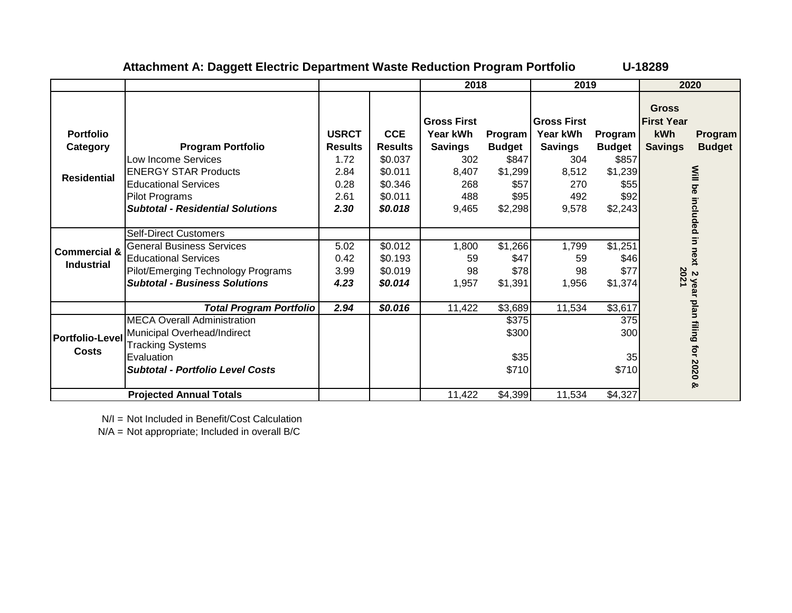|                                                    |                                                                                                                                                                               |                                                        |                                                               | 2018                                                                    |                                                        | 2019                                                                    |                                                      |                                                            | 2020                          |
|----------------------------------------------------|-------------------------------------------------------------------------------------------------------------------------------------------------------------------------------|--------------------------------------------------------|---------------------------------------------------------------|-------------------------------------------------------------------------|--------------------------------------------------------|-------------------------------------------------------------------------|------------------------------------------------------|------------------------------------------------------------|-------------------------------|
| <b>Portfolio</b><br>Category<br><b>Residential</b> | <b>Program Portfolio</b><br>Low Income Services<br><b>ENERGY STAR Products</b><br><b>Educational Services</b>                                                                 | <b>USRCT</b><br><b>Results</b><br>1.72<br>2.84<br>0.28 | <b>CCE</b><br><b>Results</b><br>\$0.037<br>\$0.011<br>\$0.346 | <b>Gross First</b><br>Year kWh<br><b>Savings</b><br>302<br>8,407<br>268 | Program  <br><b>Budget</b><br>\$847<br>\$1,299<br>\$57 | <b>Gross First</b><br>Year kWh<br><b>Savings</b><br>304<br>8,512<br>270 | Program<br><b>Budget</b><br>\$857<br>\$1,239<br>\$55 | <b>Gross</b><br><b>First Year</b><br>kWh<br><b>Savings</b> | Program<br><b>Budget</b>      |
|                                                    | Pilot Programs<br><b>Subtotal - Residential Solutions</b>                                                                                                                     | 2.61<br>2.30                                           | \$0.011<br>\$0.018                                            | 488<br>9,465                                                            | \$95<br>\$2,298                                        | 492<br>9,578                                                            | \$92<br>\$2,243                                      |                                                            |                               |
| <b>Commercial &amp;</b><br><b>Industrial</b>       | <b>Self-Direct Customers</b><br><b>General Business Services</b><br><b>Educational Services</b><br>Pilot/Emerging Technology Programs<br><b>Subtotal - Business Solutions</b> | 5.02<br>0.42<br>3.99<br>4.23                           | \$0.012<br>\$0.193<br>\$0.019<br>\$0.014                      | 1,800<br>59<br>98<br>1,957                                              | \$1,266<br>\$47<br>\$78<br>\$1,391                     | 1,799<br>59<br>98<br>1,956                                              | \$1,251<br>\$46]<br>\$77<br>\$1,374                  | 2021                                                       | Will be included in next<br>Z |
|                                                    | <b>Total Program Portfolio</b>                                                                                                                                                | 2.94                                                   | \$0.016                                                       | 11,422                                                                  | \$3,689                                                | 11,534                                                                  | \$3,617                                              |                                                            |                               |
| <b>Portfolio-Level</b><br><b>Costs</b>             | <b>MECA</b> Overall Administration<br>Municipal Overhead/Indirect<br><b>Tracking Systems</b><br>Evaluation<br><b>Subtotal - Portfolio Level Costs</b>                         |                                                        |                                                               |                                                                         | \$375<br>\$300<br>\$35<br>\$710                        |                                                                         | 375<br>300<br>35<br>\$710                            |                                                            | year plan filing for 2020 &   |
|                                                    | <b>Projected Annual Totals</b>                                                                                                                                                |                                                        |                                                               | 11,422                                                                  | \$4,399                                                | 11,534                                                                  | \$4,327                                              |                                                            |                               |

### **Attachment A: Daggett Electric Department Waste Reduction Program Portfolio U-18289**

N/I = Not Included in Benefit/Cost Calculation

N/A = Not appropriate; Included in overall B/C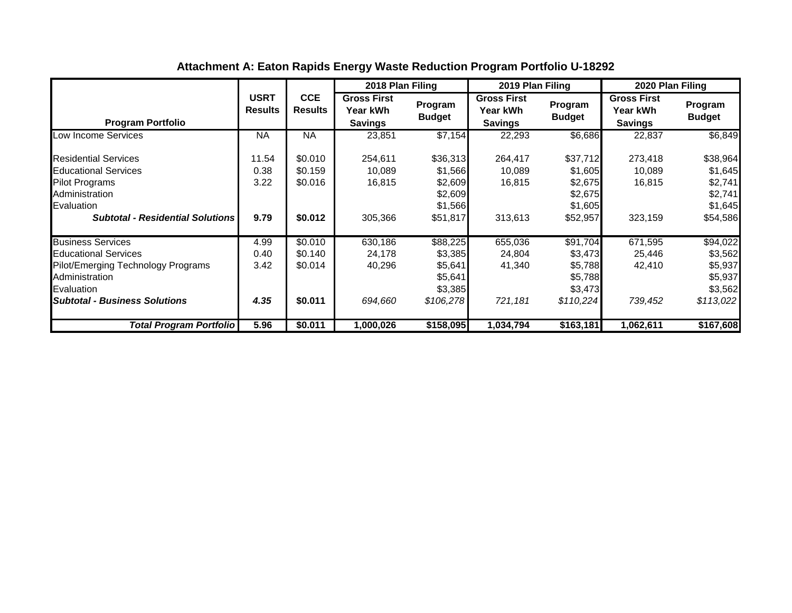|                                                                                                                                                                       |                               |                                          | 2018 Plan Filing                                 |                                                                   | 2019 Plan Filing                                 |                                                                   | 2020 Plan Filing                                 |                                                                   |
|-----------------------------------------------------------------------------------------------------------------------------------------------------------------------|-------------------------------|------------------------------------------|--------------------------------------------------|-------------------------------------------------------------------|--------------------------------------------------|-------------------------------------------------------------------|--------------------------------------------------|-------------------------------------------------------------------|
| <b>Program Portfolio</b>                                                                                                                                              | <b>USRT</b><br><b>Results</b> | <b>CCE</b><br><b>Results</b>             | <b>Gross First</b><br>Year kWh<br><b>Savings</b> | Program<br><b>Budget</b>                                          | <b>Gross First</b><br>Year kWh<br><b>Savings</b> | Program<br><b>Budget</b>                                          | <b>Gross First</b><br>Year kWh<br><b>Savings</b> | Program<br><b>Budget</b>                                          |
| Low Income Services                                                                                                                                                   | <b>NA</b>                     | <b>NA</b>                                | 23,851                                           | \$7,154                                                           | 22,293                                           | \$6,686                                                           | 22,837                                           | \$6,849                                                           |
| <b>Residential Services</b><br><b>Educational Services</b><br><b>Pilot Programs</b><br>Administration<br>Evaluation<br><b>Subtotal - Residential Solutions</b>        | 11.54<br>0.38<br>3.22<br>9.79 | \$0.010<br>\$0.159<br>\$0.016<br>\$0.012 | 254,611<br>10,089<br>16,815<br>305,366           | \$36,313<br>\$1,566<br>\$2,609<br>\$2,609<br>\$1,566<br>\$51,817  | 264,417<br>10,089<br>16,815<br>313,613           | \$37,712<br>\$1,605<br>\$2,675<br>\$2,675<br>\$1,605<br>\$52,957  | 273,418<br>10,089<br>16,815<br>323,159           | \$38,964<br>\$1,645<br>\$2,741<br>\$2,741<br>\$1,645<br>\$54,586  |
| <b>Business Services</b><br><b>Educational Services</b><br>Pilot/Emerging Technology Programs<br>Administration<br>Evaluation<br><b>Subtotal - Business Solutions</b> | 4.99<br>0.40<br>3.42<br>4.35  | \$0.010<br>\$0.140<br>\$0.014<br>\$0.011 | 630,186<br>24,178<br>40,296<br>694,660           | \$88,225<br>\$3,385<br>\$5,641<br>\$5,641<br>\$3,385<br>\$106,278 | 655,036<br>24,804<br>41,340<br>721,181           | \$91,704<br>\$3,473<br>\$5,788<br>\$5,788<br>\$3,473<br>\$110,224 | 671,595<br>25,446<br>42,410<br>739,452           | \$94,022<br>\$3,562<br>\$5,937<br>\$5,937<br>\$3,562<br>\$113,022 |
| Total Program Portfolio                                                                                                                                               | 5.96                          | \$0.011                                  | 1,000,026                                        | \$158,095                                                         | 1,034,794                                        | \$163,181                                                         | 1,062,611                                        | \$167,608                                                         |

# **Attachment A: Eaton Rapids Energy Waste Reduction Program Portfolio U-18292**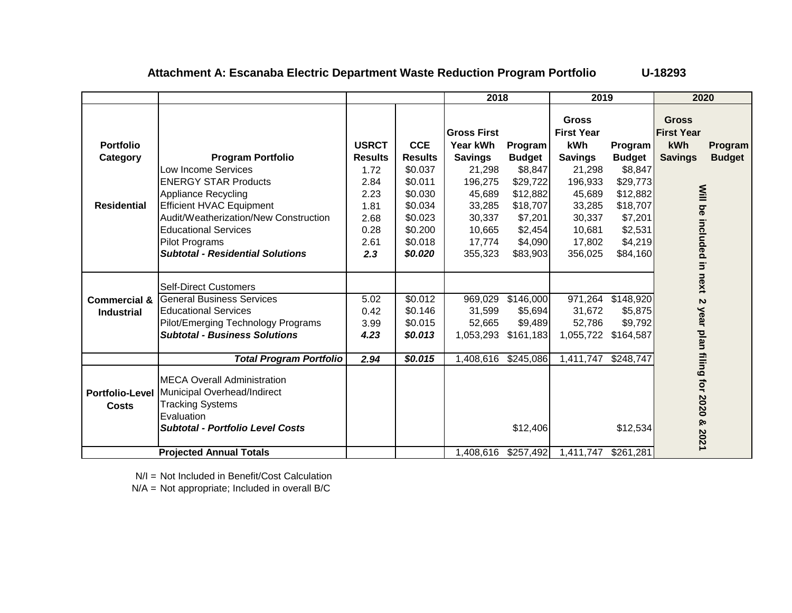### **Attachment A: Escanaba Electric Department Waste Reduction Program Portfolio U-18293**

|                         |                                         |                |                | 2018                |               | 2019                              |               | 2020                              |               |
|-------------------------|-----------------------------------------|----------------|----------------|---------------------|---------------|-----------------------------------|---------------|-----------------------------------|---------------|
|                         |                                         |                |                | <b>Gross First</b>  |               | <b>Gross</b><br><b>First Year</b> |               | <b>Gross</b><br><b>First Year</b> |               |
| <b>Portfolio</b>        |                                         | <b>USRCT</b>   | <b>CCE</b>     | Year kWh            | Program       | kWh                               | Program       | kWh                               | Program       |
| Category                | <b>Program Portfolio</b>                | <b>Results</b> | <b>Results</b> | <b>Savings</b>      | <b>Budget</b> | <b>Savings</b>                    | <b>Budget</b> | <b>Savings</b>                    | <b>Budget</b> |
|                         | Low Income Services                     | 1.72           | \$0.037        | 21,298              | \$8,847       | 21,298                            | \$8,847       |                                   |               |
|                         | <b>ENERGY STAR Products</b>             | 2.84           | \$0.011        | 196,275             | \$29,722      | 196,933                           | \$29,773      |                                   |               |
|                         | <b>Appliance Recycling</b>              | 2.23           | \$0.030        | 45,689              | \$12,882      | 45,689                            | \$12,882      |                                   |               |
| <b>Residential</b>      | <b>Efficient HVAC Equipment</b>         | 1.81           | \$0.034        | 33,285              | \$18,707      | 33,285                            | \$18,707      |                                   |               |
|                         | Audit/Weatherization/New Construction   | 2.68           | \$0.023        | 30,337              | \$7,201       | 30,337                            | \$7,201       |                                   |               |
|                         | <b>Educational Services</b>             | 0.28           | \$0.200        | 10,665              | \$2,454       | 10,681                            | \$2,531       |                                   |               |
|                         | <b>Pilot Programs</b>                   | 2.61           | \$0.018        | 17,774              | \$4,090       | 17,802                            | \$4,219       |                                   |               |
|                         | <b>Subtotal - Residential Solutions</b> | 2.3            | \$0.020        | 355,323             | \$83,903      | 356,025                           | \$84,160      | Will be included in               |               |
|                         |                                         |                |                |                     |               |                                   |               |                                   |               |
|                         | <b>Self-Direct Customers</b>            |                |                |                     |               |                                   |               | next                              |               |
| <b>Commercial &amp;</b> | <b>General Business Services</b>        | 5.02           | \$0.012        | 969,029             | \$146,000     | 971,264                           | \$148,920     | $\boldsymbol{\omega}$             |               |
| <b>Industrial</b>       | <b>Educational Services</b>             | 0.42           | \$0.146        | 31,599              | \$5,694       | 31,672                            | \$5,875       |                                   |               |
|                         | Pilot/Emerging Technology Programs      | 3.99           | \$0.015        | 52,665              | \$9,489       | 52,786                            | \$9,792       |                                   |               |
|                         | <b>Subtotal - Business Solutions</b>    | 4.23           | \$0.013        | 1,053,293           | \$161,183     | 1,055,722                         | \$164,587     |                                   |               |
|                         |                                         |                |                |                     |               |                                   |               |                                   |               |
|                         | <b>Total Program Portfolio</b>          | 2.94           | \$0.015        | 1,408,616 \$245,086 |               | 1,411,747                         | \$248,747     |                                   |               |
|                         | <b>IMECA Overall Administration</b>     |                |                |                     |               |                                   |               | year plan filing for 2020         |               |
| <b>Portfolio-Level</b>  | Municipal Overhead/Indirect             |                |                |                     |               |                                   |               |                                   |               |
| <b>Costs</b>            | <b>Tracking Systems</b>                 |                |                |                     |               |                                   |               |                                   |               |
|                         | Evaluation                              |                |                |                     |               |                                   |               | ହ                                 |               |
|                         | <b>Subtotal - Portfolio Level Costs</b> |                |                |                     | \$12,406      |                                   | \$12,534      | 2021                              |               |
|                         | <b>Projected Annual Totals</b>          |                |                | 1,408,616 \$257,492 |               | 1,411,747 \$261,281               |               |                                   |               |

N/I = Not Included in Benefit/Cost Calculation

N/A = Not appropriate; Included in overall B/C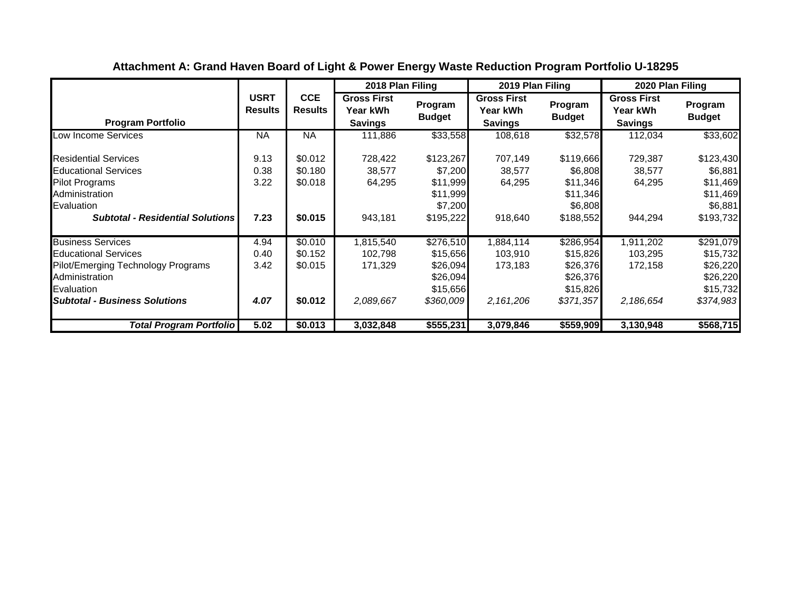|                                                                                                                                                                       |                               |                                          | 2018 Plan Filing                                 |                                                                        | 2019 Plan Filing                                 |                                                                        | 2020 Plan Filing                                 |                                                                        |
|-----------------------------------------------------------------------------------------------------------------------------------------------------------------------|-------------------------------|------------------------------------------|--------------------------------------------------|------------------------------------------------------------------------|--------------------------------------------------|------------------------------------------------------------------------|--------------------------------------------------|------------------------------------------------------------------------|
| <b>Program Portfolio</b>                                                                                                                                              | <b>USRT</b><br><b>Results</b> | <b>CCE</b><br><b>Results</b>             | <b>Gross First</b><br>Year kWh<br><b>Savings</b> | Program<br><b>Budget</b>                                               | <b>Gross First</b><br>Year kWh<br><b>Savings</b> | Program<br><b>Budget</b>                                               | <b>Gross First</b><br>Year kWh<br><b>Savings</b> | Program<br><b>Budget</b>                                               |
| Low Income Services                                                                                                                                                   | ΝA                            | <b>NA</b>                                | 111,886                                          | \$33,558                                                               | 108,618                                          | \$32,578                                                               | 112,034                                          | \$33,602                                                               |
| <b>Residential Services</b><br><b>Educational Services</b><br><b>Pilot Programs</b><br>Administration<br>Evaluation<br><b>Subtotal - Residential Solutions</b>        | 9.13<br>0.38<br>3.22<br>7.23  | \$0.012<br>\$0.180<br>\$0.018<br>\$0.015 | 728,422<br>38,577<br>64,295<br>943,181           | \$123,267<br>\$7,200<br>\$11,999<br>\$11,999<br>\$7,200<br>\$195,222   | 707,149<br>38,577<br>64,295<br>918,640           | \$119,666<br>\$6,808<br>\$11,346<br>\$11,346<br>\$6,808<br>\$188,552   | 729,387<br>38,577<br>64,295<br>944,294           | \$123,430<br>\$6,881<br>\$11,469<br>\$11,469<br>\$6,881<br>\$193,732   |
| <b>Business Services</b><br><b>Educational Services</b><br>Pilot/Emerging Technology Programs<br>Administration<br>Evaluation<br><b>Subtotal - Business Solutions</b> | 4.94<br>0.40<br>3.42<br>4.07  | \$0.010<br>\$0.152<br>\$0.015<br>\$0.012 | 1,815,540<br>102,798<br>171,329<br>2,089,667     | \$276,510<br>\$15,656<br>\$26,094<br>\$26,094<br>\$15,656<br>\$360,009 | 1,884,114<br>103,910<br>173,183<br>2,161,206     | \$286,954<br>\$15,826<br>\$26,376<br>\$26,376<br>\$15,826<br>\$371,357 | 1,911,202<br>103,295<br>172,158<br>2,186,654     | \$291,079<br>\$15,732<br>\$26,220<br>\$26,220<br>\$15,732<br>\$374,983 |
| <b>Total Program Portfolio</b>                                                                                                                                        | 5.02                          | \$0.013                                  | 3,032,848                                        | \$555,231                                                              | 3,079,846                                        | \$559,909                                                              | 3,130,948                                        | \$568,715                                                              |

**Attachment A: Grand Haven Board of Light & Power Energy Waste Reduction Program Portfolio U-18295**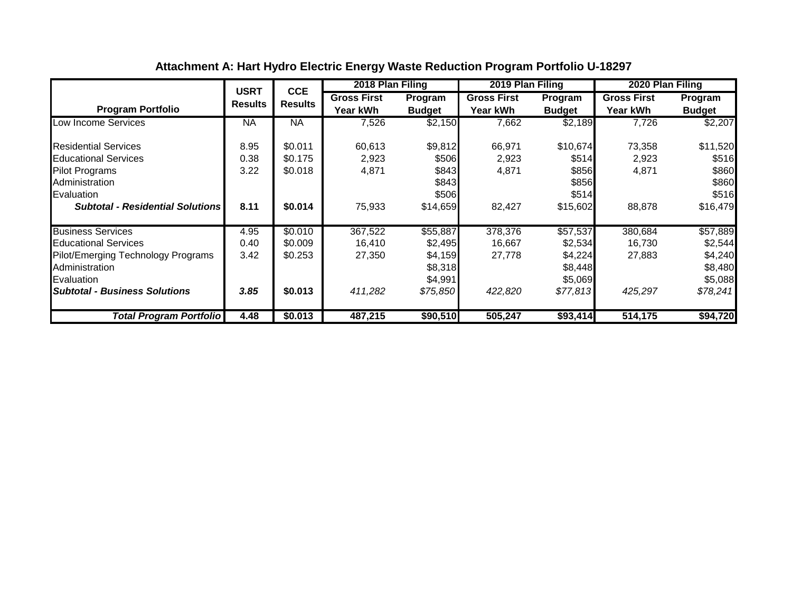|                                         | <b>USRT</b>    | <b>CCE</b>     | 2018 Plan Filing   |               | 2019 Plan Filing   |               | 2020 Plan Filing   |               |
|-----------------------------------------|----------------|----------------|--------------------|---------------|--------------------|---------------|--------------------|---------------|
|                                         | <b>Results</b> | <b>Results</b> | <b>Gross First</b> | Program       | <b>Gross First</b> | Program       | <b>Gross First</b> | Program       |
| <b>Program Portfolio</b>                |                |                | Year kWh           | <b>Budget</b> | <b>Year kWh</b>    | <b>Budget</b> | <b>Year kWh</b>    | <b>Budget</b> |
| Low Income Services                     | <b>NA</b>      | <b>NA</b>      | 7,526              | \$2,150       | 7,662              | \$2,189       | 7,726              | \$2,207       |
| <b>Residential Services</b>             | 8.95           | \$0.011        | 60,613             | \$9,812       | 66,971             | \$10,674      | 73,358             | \$11,520      |
| <b>Educational Services</b>             | 0.38           | \$0.175        | 2,923              | \$506         | 2,923              | \$514         | 2,923              | \$516         |
| <b>Pilot Programs</b>                   | 3.22           | \$0.018        | 4,871              | \$843         | 4,871              | \$856         | 4,871              | \$860         |
| Administration                          |                |                |                    | \$843         |                    | \$856         |                    | \$860         |
| Evaluation                              |                |                |                    | \$506         |                    | \$514         |                    | \$516         |
| <b>Subtotal - Residential Solutions</b> | 8.11           | \$0.014        | 75,933             | \$14,659      | 82,427             | \$15,602      | 88,878             | \$16,479      |
| <b>Business Services</b>                | 4.95           | \$0.010        | 367,522            | \$55,887      | 378,376            | \$57,537      | 380,684            | \$57,889      |
| <b>Educational Services</b>             | 0.40           | \$0.009        | 16,410             | \$2,495       | 16,667             | \$2,534       | 16,730             | \$2,544       |
| Pilot/Emerging Technology Programs      | 3.42           | \$0.253        | 27,350             | \$4,159       | 27,778             | \$4,224       | 27,883             | \$4,240       |
| Administration                          |                |                |                    | \$8,318       |                    | \$8,448       |                    | \$8,480       |
| Evaluation                              |                |                |                    | \$4,991       |                    | \$5,069       |                    | \$5,088       |
| <b>Subtotal - Business Solutions</b>    | 3.85           | \$0.013        | 411,282            | \$75,850      | 422,820            | \$77,813      | 425,297            | \$78,241      |
| <b>Total Program Portfolio</b>          | 4.48           | \$0.013        | 487,215            | \$90,510      | 505,247            | \$93,414      | 514,175            | \$94,720      |

# **Attachment A: Hart Hydro Electric Energy Waste Reduction Program Portfolio U-18297**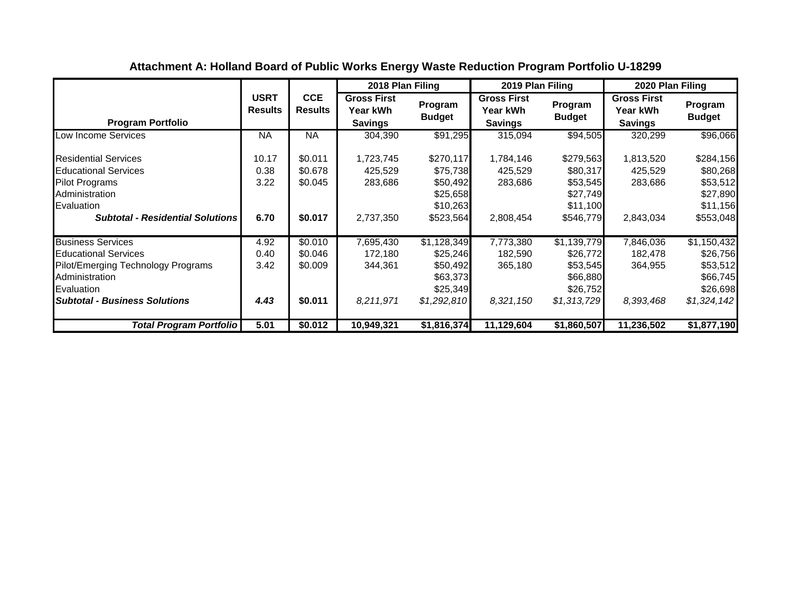|                                                                                                                                                                       |                               |                                          | 2018 Plan Filing                                 |                                                                            | 2019 Plan Filing                                 |                                                                            | 2020 Plan Filing                                        |                                                                            |
|-----------------------------------------------------------------------------------------------------------------------------------------------------------------------|-------------------------------|------------------------------------------|--------------------------------------------------|----------------------------------------------------------------------------|--------------------------------------------------|----------------------------------------------------------------------------|---------------------------------------------------------|----------------------------------------------------------------------------|
| <b>Program Portfolio</b>                                                                                                                                              | <b>USRT</b><br><b>Results</b> | <b>CCE</b><br><b>Results</b>             | <b>Gross First</b><br>Year kWh<br><b>Savings</b> | Program<br><b>Budget</b>                                                   | <b>Gross First</b><br>Year kWh<br><b>Savings</b> | Program<br><b>Budget</b>                                                   | <b>Gross First</b><br><b>Year kWh</b><br><b>Savings</b> | Program<br><b>Budget</b>                                                   |
| Low Income Services                                                                                                                                                   | <b>NA</b>                     | <b>NA</b>                                | 304,390                                          | \$91,295                                                                   | 315,094                                          | \$94,505                                                                   | 320,299                                                 | \$96,066                                                                   |
| <b>Residential Services</b><br><b>Educational Services</b><br><b>Pilot Programs</b><br>Administration<br>Evaluation<br><b>Subtotal - Residential Solutions</b>        | 10.17<br>0.38<br>3.22<br>6.70 | \$0.011<br>\$0.678<br>\$0.045<br>\$0.017 | 1,723,745<br>425,529<br>283,686<br>2,737,350     | \$270,117<br>\$75,738<br>\$50,492<br>\$25,658<br>\$10,263<br>\$523,564     | 1,784,146<br>425,529<br>283,686<br>2,808,454     | \$279,563<br>\$80,317<br>\$53,545<br>\$27,749<br>\$11,100<br>\$546,779     | 1,813,520<br>425,529<br>283,686<br>2,843,034            | \$284,156<br>\$80,268<br>\$53,512<br>\$27,890<br>\$11,156<br>\$553,048     |
| <b>Business Services</b><br><b>Educational Services</b><br>Pilot/Emerging Technology Programs<br>Administration<br>Evaluation<br><b>Subtotal - Business Solutions</b> | 4.92<br>0.40<br>3.42<br>4.43  | \$0.010<br>\$0.046<br>\$0.009<br>\$0.011 | 7,695,430<br>172,180<br>344,361<br>8,211,971     | \$1,128,349<br>\$25,246<br>\$50,492<br>\$63,373<br>\$25,349<br>\$1,292,810 | 7,773,380<br>182,590<br>365,180<br>8,321,150     | \$1,139,779<br>\$26,772<br>\$53,545<br>\$66,880<br>\$26,752<br>\$1,313,729 | 7,846,036<br>182,478<br>364,955<br>8,393,468            | \$1,150,432<br>\$26,756<br>\$53,512<br>\$66,745<br>\$26,698<br>\$1,324,142 |
| <b>Total Program Portfolio</b>                                                                                                                                        | 5.01                          | \$0.012                                  | 10,949,321                                       | \$1,816,374                                                                | 11,129,604                                       | \$1,860,507                                                                | 11,236,502                                              | \$1,877,190                                                                |

# **Attachment A: Holland Board of Public Works Energy Waste Reduction Program Portfolio U-18299**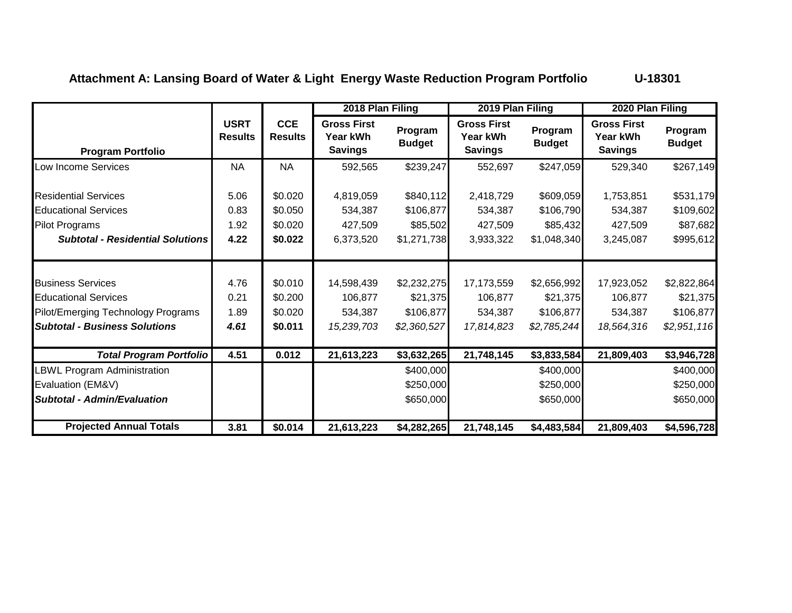# **Attachment A: Lansing Board of Water & Light Energy Waste Reduction Program Portfolio U-18301**

|                                                                                                                                       |                               |                                          | 2018 Plan Filing                                 |                                                     | 2019 Plan Filing                                 |                                                     | 2020 Plan Filing                                 |                                                     |
|---------------------------------------------------------------------------------------------------------------------------------------|-------------------------------|------------------------------------------|--------------------------------------------------|-----------------------------------------------------|--------------------------------------------------|-----------------------------------------------------|--------------------------------------------------|-----------------------------------------------------|
| <b>Program Portfolio</b>                                                                                                              | <b>USRT</b><br><b>Results</b> | <b>CCE</b><br><b>Results</b>             | <b>Gross First</b><br>Year kWh<br><b>Savings</b> | Program<br><b>Budget</b>                            | <b>Gross First</b><br>Year kWh<br><b>Savings</b> | Program<br><b>Budget</b>                            | <b>Gross First</b><br>Year kWh<br><b>Savings</b> | Program<br><b>Budget</b>                            |
| Low Income Services                                                                                                                   | <b>NA</b>                     | <b>NA</b>                                | 592,565                                          | \$239,247                                           | 552,697                                          | \$247,059                                           | 529,340                                          | \$267,149                                           |
| <b>Residential Services</b><br><b>Educational Services</b><br><b>Pilot Programs</b><br><b>Subtotal - Residential Solutions</b>        | 5.06<br>0.83<br>1.92<br>4.22  | \$0.020<br>\$0.050<br>\$0.020<br>\$0.022 | 4,819,059<br>534,387<br>427,509<br>6,373,520     | \$840,112<br>\$106,877<br>\$85,502<br>\$1,271,738   | 2,418,729<br>534,387<br>427,509<br>3,933,322     | \$609,059<br>\$106,790<br>\$85,432<br>\$1,048,340   | 1,753,851<br>534,387<br>427,509<br>3,245,087     | \$531,179<br>\$109,602<br>\$87,682<br>\$995,612     |
| <b>Business Services</b><br><b>Educational Services</b><br>Pilot/Emerging Technology Programs<br><b>Subtotal - Business Solutions</b> | 4.76<br>0.21<br>1.89<br>4.61  | \$0.010<br>\$0.200<br>\$0.020<br>\$0.011 | 14,598,439<br>106,877<br>534,387<br>15,239,703   | \$2,232,275<br>\$21,375<br>\$106,877<br>\$2,360,527 | 17,173,559<br>106,877<br>534,387<br>17,814,823   | \$2,656,992<br>\$21,375<br>\$106,877<br>\$2,785,244 | 17,923,052<br>106,877<br>534,387<br>18,564,316   | \$2,822,864<br>\$21,375<br>\$106,877<br>\$2,951,116 |
| <b>Total Program Portfolio</b>                                                                                                        | 4.51                          | 0.012                                    | 21,613,223                                       | \$3,632,265                                         | 21,748,145                                       | \$3,833,584                                         | 21,809,403                                       | \$3,946,728                                         |
| <b>BWL Program Administration</b>                                                                                                     |                               |                                          |                                                  | \$400,000                                           |                                                  | \$400,000                                           |                                                  | \$400,000                                           |
| Evaluation (EM&V)                                                                                                                     |                               |                                          |                                                  | \$250,000                                           |                                                  | \$250,000                                           |                                                  | \$250,000                                           |
| <b>Subtotal - Admin/Evaluation</b>                                                                                                    |                               |                                          |                                                  | \$650,000                                           |                                                  | \$650,000                                           |                                                  | \$650,000                                           |
| <b>Projected Annual Totals</b>                                                                                                        | 3.81                          | \$0.014                                  | 21,613,223                                       | \$4,282,265                                         | 21,748,145                                       | \$4,483,584                                         | 21,809,403                                       | \$4,596,728                                         |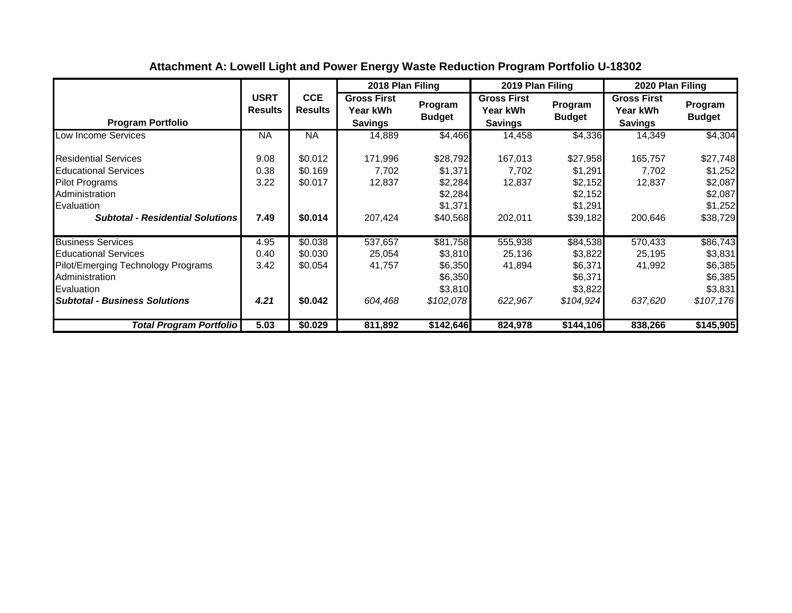|                                                                                                                                                                       |                               |                                          | 2018 Plan Filing                                 |                                                                   | 2019 Plan Filing                                 |                                                                   | 2020 Plan Filing                                        |                                                                   |
|-----------------------------------------------------------------------------------------------------------------------------------------------------------------------|-------------------------------|------------------------------------------|--------------------------------------------------|-------------------------------------------------------------------|--------------------------------------------------|-------------------------------------------------------------------|---------------------------------------------------------|-------------------------------------------------------------------|
| <b>Program Portfolio</b>                                                                                                                                              | <b>USRT</b><br><b>Results</b> | <b>CCE</b><br><b>Results</b>             | <b>Gross First</b><br>Year kWh<br><b>Savings</b> | Program<br><b>Budget</b>                                          | <b>Gross First</b><br>Year kWh<br><b>Savings</b> | Program<br><b>Budget</b>                                          | <b>Gross First</b><br><b>Year kWh</b><br><b>Savings</b> | Program<br><b>Budget</b>                                          |
| ow Income Services                                                                                                                                                    | <b>NA</b>                     | NA                                       | 14,889                                           | \$4,466                                                           | 14,458                                           | \$4,336                                                           | 14,349                                                  | \$4,304                                                           |
| <b>Residential Services</b><br><b>Educational Services</b><br><b>Pilot Programs</b><br>Administration<br>Evaluation<br><b>Subtotal - Residential Solutions</b>        | 9.08<br>0.38<br>3.22<br>7.49  | \$0.012<br>\$0.169<br>\$0.017<br>\$0.014 | 171,996<br>7,702<br>12,837<br>207,424            | \$28,792<br>\$1,371<br>\$2,284<br>\$2,284<br>\$1,371<br>\$40,568  | 167,013<br>7,702<br>12,837<br>202,011            | \$27,958<br>\$1,291<br>\$2,152<br>\$2,152<br>\$1,291<br>\$39,182  | 165,757<br>7,702<br>12,837<br>200,646                   | \$27,748<br>\$1,252<br>\$2,087<br>\$2,087<br>\$1,252<br>\$38,729  |
| <b>Business Services</b><br><b>Educational Services</b><br>Pilot/Emerging Technology Programs<br>Administration<br>Evaluation<br><b>Subtotal - Business Solutions</b> | 4.95<br>0.40<br>3.42<br>4.21  | \$0.038<br>\$0.030<br>\$0.054<br>\$0.042 | 537,657<br>25,054<br>41,757<br>604,468           | \$81,758<br>\$3,810<br>\$6,350<br>\$6,350<br>\$3,810<br>\$102,078 | 555,938<br>25,136<br>41,894<br>622,967           | \$84,538<br>\$3,822<br>\$6,371<br>\$6,371<br>\$3,822<br>\$104,924 | 570,433<br>25,195<br>41,992<br>637,620                  | \$86,743<br>\$3,831<br>\$6,385<br>\$6,385<br>\$3,831<br>\$107,176 |
| <b>Total Program Portfolio</b>                                                                                                                                        | 5.03                          | \$0.029                                  | 811,892                                          | \$142,646                                                         | 824,978                                          | \$144,106                                                         | 838,266                                                 | \$145,905                                                         |

# **Attachment A: Lowell Light and Power Energy Waste Reduction Program Portfolio U-18302**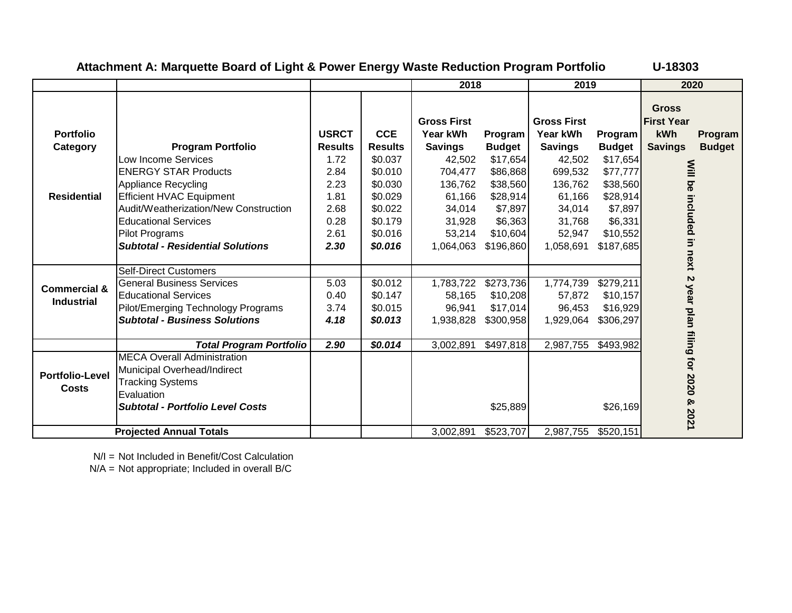|                         |                                         |                |                | 2018               |               | 2019               |                   | 2020                     |               |
|-------------------------|-----------------------------------------|----------------|----------------|--------------------|---------------|--------------------|-------------------|--------------------------|---------------|
|                         |                                         |                |                |                    |               |                    |                   | <b>Gross</b>             |               |
|                         |                                         |                |                | <b>Gross First</b> |               | <b>Gross First</b> |                   | <b>First Year</b>        |               |
| <b>Portfolio</b>        |                                         | <b>USRCT</b>   | <b>CCE</b>     | Year kWh           | Program       | Year kWh           | Program           | kWh                      | Program       |
| Category                | <b>Program Portfolio</b>                | <b>Results</b> | <b>Results</b> | <b>Savings</b>     | <b>Budget</b> | <b>Savings</b>     | <b>Budget</b>     | <b>Savings</b>           | <b>Budget</b> |
|                         | Low Income Services                     | 1.72           | \$0.037        | 42,502             | \$17,654      | 42,502             | \$17,654          |                          |               |
|                         | <b>ENERGY STAR Products</b>             | 2.84           | \$0.010        | 704,477            | \$86,868      | 699,532            | \$77,777          |                          |               |
|                         | <b>Appliance Recycling</b>              | 2.23           | \$0.030        | 136,762            | \$38,560      | 136,762            | \$38,560          |                          |               |
| <b>Residential</b>      | <b>Efficient HVAC Equipment</b>         | 1.81           | \$0.029        | 61,166             | \$28,914      | 61,166             | \$28,914          |                          |               |
|                         | Audit/Weatherization/New Construction   | 2.68           | \$0.022        | 34,014             | \$7,897       | 34,014             | \$7,897           |                          |               |
|                         | <b>Educational Services</b>             | 0.28           | \$0.179        | 31,928             | \$6,363       | 31,768             | \$6,331           |                          |               |
|                         | <b>Pilot Programs</b>                   | 2.61           | \$0.016        | 53,214             | \$10,604      | 52,947             | \$10,552          |                          |               |
|                         | <b>Subtotal - Residential Solutions</b> | 2.30           | \$0.016        | 1,064,063          | \$196,860     | 1,058,691          | \$187,685         |                          |               |
|                         |                                         |                |                |                    |               |                    |                   | Will be included in next |               |
|                         | <b>Self-Direct Customers</b>            |                |                |                    |               |                    |                   |                          |               |
|                         | <b>General Business Services</b>        | 5.03           | \$0.012        | 1,783,722          | \$273,736     | 1,774,739          | $\sqrt{$279,211}$ | $\boldsymbol{\kappa}$    |               |
| <b>Commercial &amp;</b> | <b>Educational Services</b>             | 0.40           | \$0.147        | 58,165             | \$10,208      | 57,872             | \$10,157          |                          |               |
| <b>Industrial</b>       | Pilot/Emerging Technology Programs      | 3.74           | \$0.015        | 96,941             | \$17,014      | 96,453             | \$16,929          |                          |               |
|                         | <b>Subtotal - Business Solutions</b>    | 4.18           | \$0.013        | 1,938,828          | \$300,958     | 1,929,064          | \$306,297         |                          |               |
|                         |                                         |                |                |                    |               |                    |                   |                          |               |
|                         | <b>Total Program Portfolio</b>          | 2.90           | \$0.014        | 3,002,891          | \$497,818     | 2,987,755          | \$493,982         |                          |               |
|                         | <b>MECA Overall Administration</b>      |                |                |                    |               |                    |                   | year plan filing for     |               |
|                         | Municipal Overhead/Indirect             |                |                |                    |               |                    |                   |                          |               |
| <b>Portfolio-Level</b>  | <b>Tracking Systems</b>                 |                |                |                    |               |                    |                   | 0202                     |               |
| Costs                   | Evaluation                              |                |                |                    |               |                    |                   |                          |               |
|                         | <b>Subtotal - Portfolio Level Costs</b> |                |                |                    | \$25,889      |                    | \$26,169          | ନ୍ତ                      |               |
|                         |                                         |                |                |                    |               |                    |                   | 2021                     |               |
|                         | <b>Projected Annual Totals</b>          |                |                | 3,002,891          | \$523,707     | 2,987,755          | \$520,151         |                          |               |

## **Attachment A: Marquette Board of Light & Power Energy Waste Reduction Program Portfolio U-18303**

N/I = Not Included in Benefit/Cost Calculation

N/A = Not appropriate; Included in overall B/C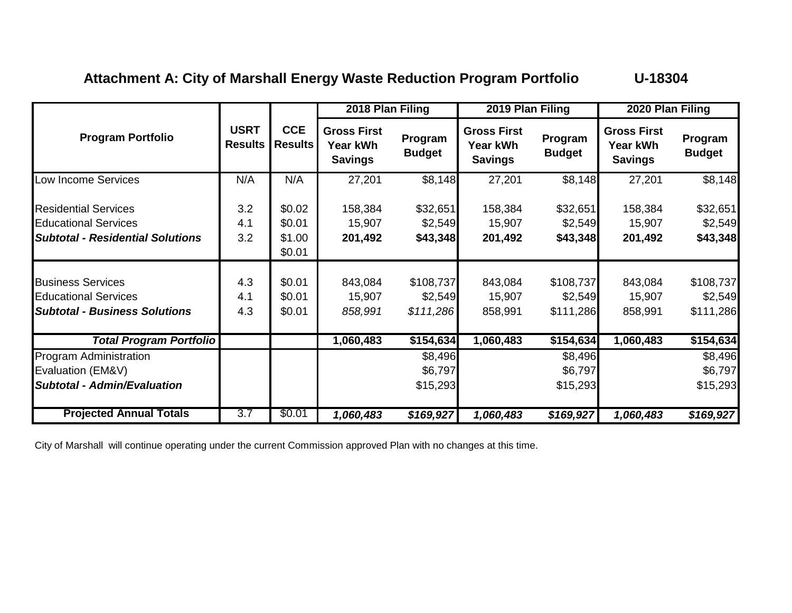# Attachment A: City of Marshall Energy Waste Reduction Program Portfolio **U-18304**

|                                                                                                 |                               |                              | 2018 Plan Filing                                 |                                   | 2019 Plan Filing                                 |                                   | 2020 Plan Filing                                 |                                   |
|-------------------------------------------------------------------------------------------------|-------------------------------|------------------------------|--------------------------------------------------|-----------------------------------|--------------------------------------------------|-----------------------------------|--------------------------------------------------|-----------------------------------|
| <b>Program Portfolio</b>                                                                        | <b>USRT</b><br><b>Results</b> | <b>CCE</b><br><b>Results</b> | <b>Gross First</b><br>Year kWh<br><b>Savings</b> | Program<br><b>Budget</b>          | <b>Gross First</b><br>Year kWh<br><b>Savings</b> | Program<br><b>Budget</b>          | <b>Gross First</b><br>Year kWh<br><b>Savings</b> | Program<br><b>Budget</b>          |
| Low Income Services                                                                             | N/A                           | N/A                          | 27,201                                           | \$8,148                           | 27,201                                           | \$8,148                           | 27,201                                           | \$8,148                           |
| <b>Residential Services</b><br><b>Educational Services</b>                                      | 3.2<br>4.1                    | \$0.02<br>\$0.01             | 158,384<br>15,907                                | \$32,651<br>\$2,549               | 158,384<br>15,907                                | \$32,651<br>\$2,549               | 158,384<br>15,907                                | \$32,651<br>\$2,549               |
| <b>Subtotal - Residential Solutions</b>                                                         | 3.2                           | \$1.00<br>\$0.01             | 201,492                                          | \$43,348                          | 201,492                                          | \$43,348                          | 201,492                                          | \$43,348                          |
| <b>Business Services</b><br><b>Educational Services</b><br><b>Subtotal - Business Solutions</b> | 4.3<br>4.1<br>4.3             | \$0.01<br>\$0.01<br>\$0.01   | 843,084<br>15,907<br>858,991                     | \$108,737<br>\$2,549<br>\$111,286 | 843,084<br>15,907<br>858,991                     | \$108,737<br>\$2,549<br>\$111,286 | 843,084<br>15,907<br>858,991                     | \$108,737<br>\$2,549<br>\$111,286 |
| <b>Total Program Portfolio</b>                                                                  |                               |                              | 1,060,483                                        | \$154,634                         | 1,060,483                                        | \$154,634                         | 1,060,483                                        | \$154,634                         |
| Program Administration<br>Evaluation (EM&V)<br><b>Subtotal - Admin/Evaluation</b>               |                               |                              |                                                  | \$8,496<br>\$6,797<br>\$15,293    |                                                  | \$8,496<br>\$6,797<br>\$15,293    |                                                  | \$8,496<br>\$6,797<br>\$15,293    |
| <b>Projected Annual Totals</b>                                                                  | 3.7                           | \$0.01                       | 1,060,483                                        | \$169,927                         | 1,060,483                                        | \$169,927                         | 1,060,483                                        | \$169,927                         |

City of Marshall will continue operating under the current Commission approved Plan with no changes at this time.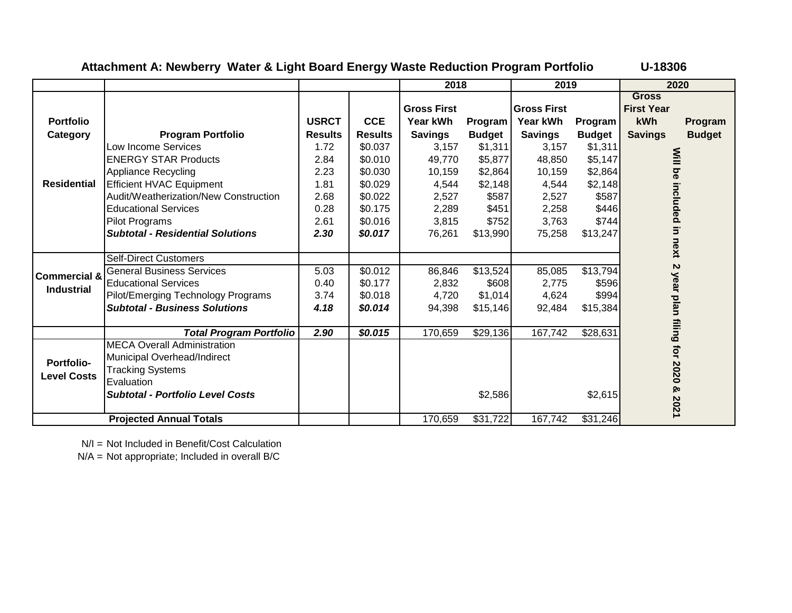| Attachment A: Newberry Water & Light Board Energy Waste Reduction Program Portfolio | U-18306 |
|-------------------------------------------------------------------------------------|---------|
|-------------------------------------------------------------------------------------|---------|

|                         |                                         |                |                | 2018               |               | 2019               |               |                      | 2020                     |
|-------------------------|-----------------------------------------|----------------|----------------|--------------------|---------------|--------------------|---------------|----------------------|--------------------------|
|                         |                                         |                |                |                    |               |                    |               | <b>Gross</b>         |                          |
|                         |                                         |                |                | <b>Gross First</b> |               | <b>Gross First</b> |               | <b>First Year</b>    |                          |
| <b>Portfolio</b>        |                                         | <b>USRCT</b>   | <b>CCE</b>     | Year kWh           | Program       | Year kWh           | Program       | kWh                  | Program                  |
| Category                | <b>Program Portfolio</b>                | <b>Results</b> | <b>Results</b> | <b>Savings</b>     | <b>Budget</b> | <b>Savings</b>     | <b>Budget</b> | <b>Savings</b>       | <b>Budget</b>            |
|                         | Low Income Services                     | 1.72           | \$0.037        | 3,157              | \$1,311       | 3,157              | \$1,311       |                      |                          |
|                         | <b>ENERGY STAR Products</b>             | 2.84           | \$0.010        | 49,770             | \$5,877       | 48,850             | \$5,147       |                      |                          |
|                         | Appliance Recycling                     | 2.23           | \$0.030        | 10,159             | \$2,864       | 10,159             | \$2,864       |                      |                          |
| <b>Residential</b>      | Efficient HVAC Equipment                | 1.81           | \$0.029        | 4,544              | \$2,148       | 4,544              | \$2,148       |                      |                          |
|                         | Audit/Weatherization/New Construction   | 2.68           | \$0.022        | 2,527              | \$587         | 2,527              | \$587         |                      |                          |
|                         | <b>Educational Services</b>             | 0.28           | \$0.175        | 2,289              | \$451         | 2,258              | \$446         |                      |                          |
|                         | <b>Pilot Programs</b>                   | 2.61           | \$0.016        | 3,815              | \$752         | 3,763              | \$744         |                      |                          |
|                         | <b>Subtotal - Residential Solutions</b> | 2.30           | \$0.017        | 76,261             | \$13,990      | 75,258             | \$13,247      |                      |                          |
|                         |                                         |                |                |                    |               |                    |               |                      | Will be included in next |
|                         | <b>Self-Direct Customers</b>            |                |                |                    |               |                    |               |                      |                          |
| <b>Commercial &amp;</b> | <b>General Business Services</b>        | 5.03           | \$0.012        | 86,846             | \$13,524      | 85,085             | \$13,794      | Z                    |                          |
| <b>Industrial</b>       | <b>Educational Services</b>             | 0.40           | \$0.177        | 2,832              | \$608         | 2,775              | \$596         |                      |                          |
|                         | Pilot/Emerging Technology Programs      | 3.74           | \$0.018        | 4,720              | \$1,014       | 4,624              | \$994         |                      |                          |
|                         | <b>Subtotal - Business Solutions</b>    | 4.18           | \$0.014        | 94,398             | \$15,146      | 92,484             | \$15,384      |                      |                          |
|                         |                                         |                |                |                    |               |                    |               | year plan filing for |                          |
|                         | <b>Total Program Portfolio</b>          | 2.90           | \$0.015        | 170,659            | \$29,136      | 167,742            | \$28,631      |                      |                          |
|                         | <b>MECA Overall Administration</b>      |                |                |                    |               |                    |               |                      |                          |
| <b>Portfolio-</b>       | Municipal Overhead/Indirect             |                |                |                    |               |                    |               |                      |                          |
| <b>Level Costs</b>      | <b>Tracking Systems</b>                 |                |                |                    |               |                    |               | 2020                 |                          |
|                         | Evaluation                              |                |                |                    |               |                    |               |                      |                          |
|                         | <b>Subtotal - Portfolio Level Costs</b> |                |                |                    | \$2,586       |                    | \$2,615       | ହ                    | 2021                     |
|                         | <b>Projected Annual Totals</b>          |                |                | 170,659            | \$31,722      | 167,742            | \$31,246      |                      |                          |

N/I = Not Included in Benefit/Cost Calculation

N/A = Not appropriate; Included in overall B/C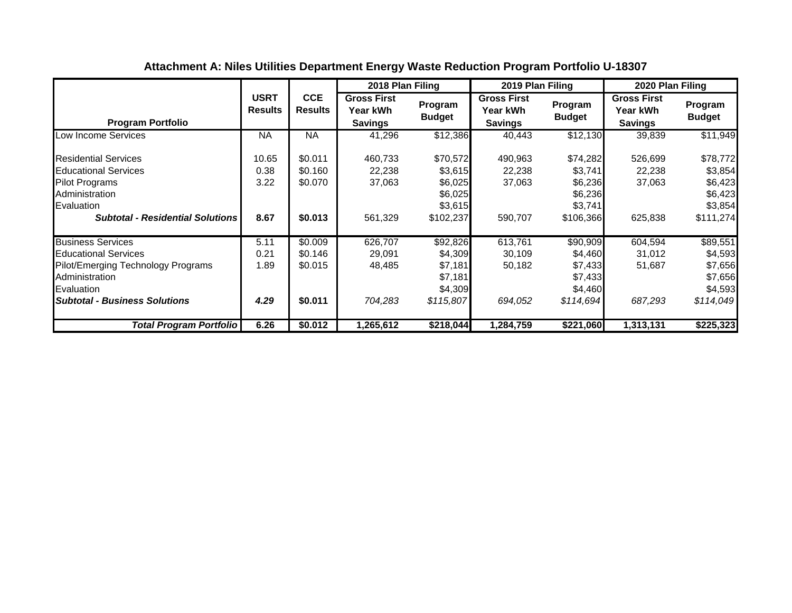|                                                                                                                                                                       |                               |                                          | 2018 Plan Filing                                 |                                                                   | 2019 Plan Filing                                 |                                                                   | 2020 Plan Filing                                        |                                                                   |
|-----------------------------------------------------------------------------------------------------------------------------------------------------------------------|-------------------------------|------------------------------------------|--------------------------------------------------|-------------------------------------------------------------------|--------------------------------------------------|-------------------------------------------------------------------|---------------------------------------------------------|-------------------------------------------------------------------|
| <b>Program Portfolio</b>                                                                                                                                              | <b>USRT</b><br><b>Results</b> | <b>CCE</b><br><b>Results</b>             | <b>Gross First</b><br>Year kWh<br><b>Savings</b> | Program<br><b>Budget</b>                                          | <b>Gross First</b><br>Year kWh<br><b>Savings</b> | Program<br><b>Budget</b>                                          | <b>Gross First</b><br><b>Year kWh</b><br><b>Savings</b> | Program<br><b>Budget</b>                                          |
| Low Income Services                                                                                                                                                   | <b>NA</b>                     | <b>NA</b>                                | 41,296                                           | \$12,386                                                          | 40,443                                           | \$12,130                                                          | 39,839                                                  | \$11,949                                                          |
| <b>Residential Services</b><br><b>Educational Services</b><br><b>Pilot Programs</b><br>Administration<br>Evaluation<br><b>Subtotal - Residential Solutions</b>        | 10.65<br>0.38<br>3.22<br>8.67 | \$0.011<br>\$0.160<br>\$0.070<br>\$0.013 | 460,733<br>22,238<br>37,063<br>561,329           | \$70,572<br>\$3,615<br>\$6,025<br>\$6,025<br>\$3,615<br>\$102,237 | 490,963<br>22,238<br>37,063<br>590,707           | \$74,282<br>\$3,741<br>\$6,236<br>\$6,236<br>\$3,741<br>\$106,366 | 526,699<br>22,238<br>37,063<br>625,838                  | \$78,772<br>\$3,854<br>\$6,423<br>\$6,423<br>\$3,854<br>\$111,274 |
| <b>Business Services</b><br><b>Educational Services</b><br>Pilot/Emerging Technology Programs<br>Administration<br>Evaluation<br><b>Subtotal - Business Solutions</b> | 5.11<br>0.21<br>1.89<br>4.29  | \$0.009<br>\$0.146<br>\$0.015<br>\$0.011 | 626,707<br>29,091<br>48,485<br>704,283           | \$92,826<br>\$4,309<br>\$7,181<br>\$7,181<br>\$4,309<br>\$115,807 | 613,761<br>30,109<br>50,182<br>694,052           | \$90,909<br>\$4,460<br>\$7,433<br>\$7,433<br>\$4,460<br>\$114,694 | 604,594<br>31,012<br>51,687<br>687,293                  | \$89,551<br>\$4,593<br>\$7,656<br>\$7,656<br>\$4,593<br>\$114,049 |
| Total Program Portfolio                                                                                                                                               | 6.26                          | \$0.012                                  | 1,265,612                                        | \$218,044                                                         | 1,284,759                                        | \$221,060                                                         | 1,313,131                                               | \$225,323                                                         |

# **Attachment A: Niles Utilities Department Energy Waste Reduction Program Portfolio U-18307**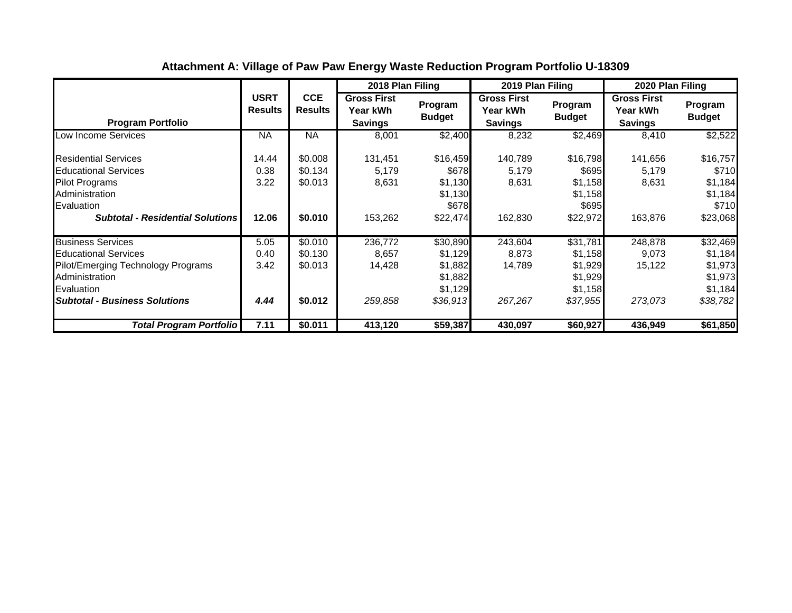|                                                                                                                                                                       |                                |                                          | 2018 Plan Filing                                 |                                                                  | 2019 Plan Filing                                 |                                                                  | 2020 Plan Filing                                        |                                                                  |
|-----------------------------------------------------------------------------------------------------------------------------------------------------------------------|--------------------------------|------------------------------------------|--------------------------------------------------|------------------------------------------------------------------|--------------------------------------------------|------------------------------------------------------------------|---------------------------------------------------------|------------------------------------------------------------------|
| <b>Program Portfolio</b>                                                                                                                                              | <b>USRT</b><br><b>Results</b>  | <b>CCE</b><br><b>Results</b>             | <b>Gross First</b><br>Year kWh<br><b>Savings</b> | Program<br><b>Budget</b>                                         | <b>Gross First</b><br>Year kWh<br><b>Savings</b> | Program<br><b>Budget</b>                                         | <b>Gross First</b><br><b>Year kWh</b><br><b>Savings</b> | Program<br><b>Budget</b>                                         |
| Low Income Services                                                                                                                                                   | <b>NA</b>                      | NA                                       | 8,001                                            | \$2,400                                                          | 8,232                                            | \$2,469                                                          | 8,410                                                   | \$2,522                                                          |
| <b>Residential Services</b><br><b>Educational Services</b><br><b>Pilot Programs</b><br>Administration<br>Evaluation<br><b>Subtotal - Residential Solutions</b>        | 14.44<br>0.38<br>3.22<br>12.06 | \$0.008<br>\$0.134<br>\$0.013<br>\$0.010 | 131,451<br>5,179<br>8,631<br>153,262             | \$16,459<br>\$678<br>\$1,130<br>\$1,130<br>\$678<br>\$22,474     | 140,789<br>5,179<br>8,631<br>162,830             | \$16,798<br>\$695<br>\$1,158<br>\$1,158<br>\$695<br>\$22,972     | 141,656<br>5,179<br>8,631<br>163,876                    | \$16,757<br>\$710<br>\$1,184<br>\$1,184<br>\$710<br>\$23,068     |
| <b>Business Services</b><br><b>Educational Services</b><br>Pilot/Emerging Technology Programs<br>Administration<br>Evaluation<br><b>Subtotal - Business Solutions</b> | 5.05<br>0.40<br>3.42<br>4.44   | \$0.010<br>\$0.130<br>\$0.013<br>\$0.012 | 236,772<br>8,657<br>14,428<br>259,858            | \$30,890<br>\$1,129<br>\$1,882<br>\$1,882<br>\$1,129<br>\$36,913 | 243,604<br>8,873<br>14,789<br>267,267            | \$31,781<br>\$1,158<br>\$1,929<br>\$1,929<br>\$1,158<br>\$37,955 | 248,878<br>9,073<br>15,122<br>273,073                   | \$32,469<br>\$1,184<br>\$1,973<br>\$1,973<br>\$1,184<br>\$38,782 |
| Total Program Portfolio                                                                                                                                               | 7.11                           | \$0.011                                  | 413,120                                          | \$59,387                                                         | 430,097                                          | \$60,927                                                         | 436,949                                                 | \$61,850                                                         |

# **Attachment A: Village of Paw Paw Energy Waste Reduction Program Portfolio U-18309**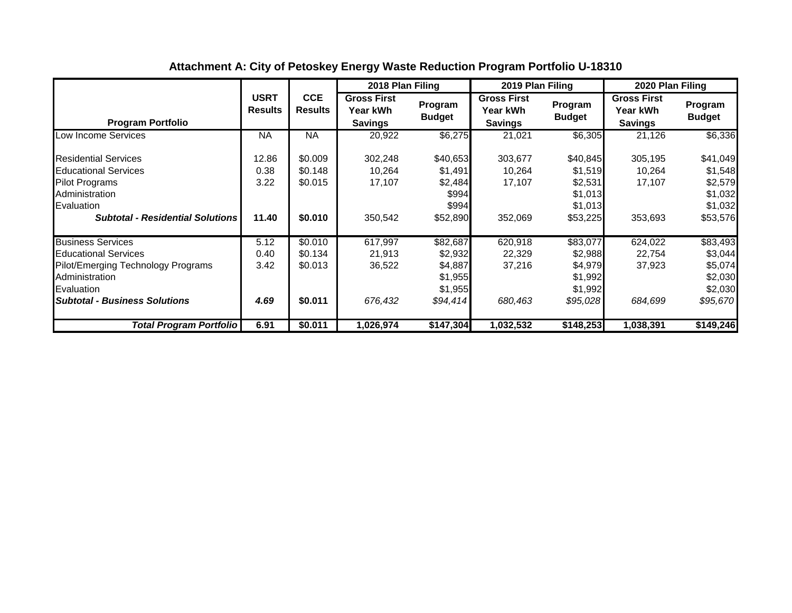|                                                                                                                                                                       |                                |                                          | 2018 Plan Filing                                 |                                                                  | 2019 Plan Filing                                 |                                                                  | 2020 Plan Filing                                        |                                                                  |
|-----------------------------------------------------------------------------------------------------------------------------------------------------------------------|--------------------------------|------------------------------------------|--------------------------------------------------|------------------------------------------------------------------|--------------------------------------------------|------------------------------------------------------------------|---------------------------------------------------------|------------------------------------------------------------------|
| <b>Program Portfolio</b>                                                                                                                                              | <b>USRT</b><br><b>Results</b>  | <b>CCE</b><br><b>Results</b>             | <b>Gross First</b><br>Year kWh<br><b>Savings</b> | Program<br><b>Budget</b>                                         | <b>Gross First</b><br>Year kWh<br><b>Savings</b> | Program<br><b>Budget</b>                                         | <b>Gross First</b><br><b>Year kWh</b><br><b>Savings</b> | Program<br><b>Budget</b>                                         |
| Low Income Services                                                                                                                                                   | <b>NA</b>                      | <b>NA</b>                                | 20,922                                           | \$6,275                                                          | 21,021                                           | \$6,305                                                          | 21,126                                                  | \$6,336                                                          |
| <b>Residential Services</b><br><b>Educational Services</b><br><b>Pilot Programs</b><br>Administration<br>Evaluation<br><b>Subtotal - Residential Solutions</b>        | 12.86<br>0.38<br>3.22<br>11.40 | \$0.009<br>\$0.148<br>\$0.015<br>\$0.010 | 302,248<br>10,264<br>17,107<br>350,542           | \$40,653<br>\$1,491<br>\$2,484<br>\$994<br>\$994<br>\$52,890     | 303,677<br>10,264<br>17,107<br>352,069           | \$40,845<br>\$1,519<br>\$2,531<br>\$1,013<br>\$1,013<br>\$53,225 | 305,195<br>10,264<br>17,107<br>353,693                  | \$41,049<br>\$1,548<br>\$2,579<br>\$1,032<br>\$1,032<br>\$53,576 |
| <b>Business Services</b><br><b>Educational Services</b><br>Pilot/Emerging Technology Programs<br>Administration<br>Evaluation<br><b>Subtotal - Business Solutions</b> | 5.12<br>0.40<br>3.42<br>4.69   | \$0.010<br>\$0.134<br>\$0.013<br>\$0.011 | 617,997<br>21,913<br>36,522<br>676,432           | \$82,687<br>\$2,932<br>\$4,887<br>\$1,955<br>\$1,955<br>\$94,414 | 620,918<br>22,329<br>37,216<br>680,463           | \$83,077<br>\$2,988<br>\$4,979<br>\$1,992<br>\$1,992<br>\$95,028 | 624,022<br>22,754<br>37,923<br>684,699                  | \$83,493<br>\$3,044<br>\$5,074<br>\$2,030<br>\$2,030<br>\$95,670 |
| Total Program Portfolio                                                                                                                                               | 6.91                           | \$0.011                                  | 1,026,974                                        | \$147,304                                                        | 1,032,532                                        | \$148,253                                                        | 1,038,391                                               | \$149,246                                                        |

# **Attachment A: City of Petoskey Energy Waste Reduction Program Portfolio U-18310**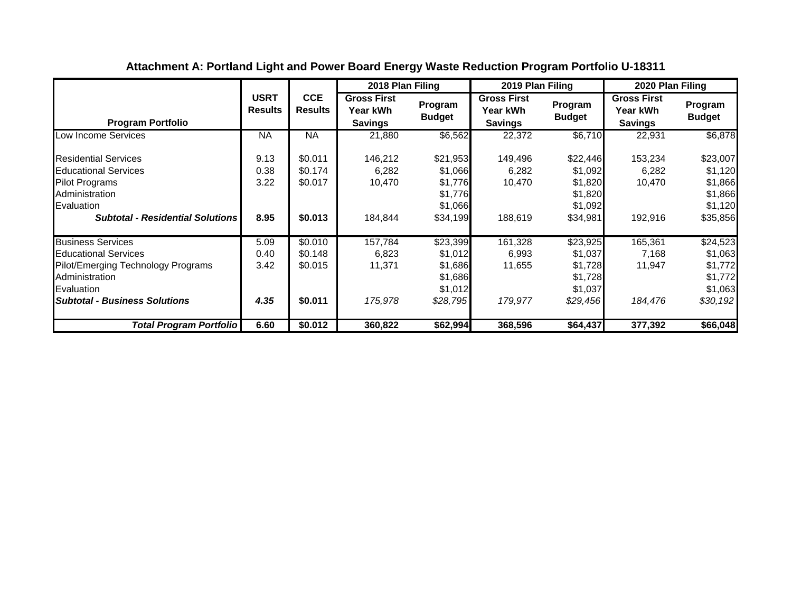|                                                                                                                                                                       |                               |                                          | 2018 Plan Filing                                 |                                                                  | 2019 Plan Filing                                 |                                                                  | 2020 Plan Filing                                 |                                                                  |
|-----------------------------------------------------------------------------------------------------------------------------------------------------------------------|-------------------------------|------------------------------------------|--------------------------------------------------|------------------------------------------------------------------|--------------------------------------------------|------------------------------------------------------------------|--------------------------------------------------|------------------------------------------------------------------|
| <b>Program Portfolio</b>                                                                                                                                              | <b>USRT</b><br><b>Results</b> | <b>CCE</b><br><b>Results</b>             | <b>Gross First</b><br>Year kWh<br><b>Savings</b> | Program<br><b>Budget</b>                                         | <b>Gross First</b><br>Year kWh<br><b>Savings</b> | Program<br><b>Budget</b>                                         | <b>Gross First</b><br>Year kWh<br><b>Savings</b> | Program<br><b>Budget</b>                                         |
| Low Income Services                                                                                                                                                   | <b>NA</b>                     | <b>NA</b>                                | 21,880                                           | \$6,562                                                          | 22,372                                           | \$6,710                                                          | 22,931                                           | \$6,878                                                          |
| <b>Residential Services</b><br><b>Educational Services</b><br><b>Pilot Programs</b><br>Administration<br>Evaluation<br><b>Subtotal - Residential Solutions</b>        | 9.13<br>0.38<br>3.22<br>8.95  | \$0.011<br>\$0.174<br>\$0.017<br>\$0.013 | 146,212<br>6,282<br>10,470<br>184,844            | \$21,953<br>\$1,066<br>\$1,776<br>\$1,776<br>\$1,066<br>\$34,199 | 149,496<br>6,282<br>10,470<br>188,619            | \$22,446<br>\$1,092<br>\$1,820<br>\$1,820<br>\$1,092<br>\$34,981 | 153,234<br>6,282<br>10,470<br>192,916            | \$23,007<br>\$1,120<br>\$1,866<br>\$1,866<br>\$1,120<br>\$35,856 |
| <b>Business Services</b><br><b>Educational Services</b><br>Pilot/Emerging Technology Programs<br>Administration<br>Evaluation<br><b>Subtotal - Business Solutions</b> | 5.09<br>0.40<br>3.42<br>4.35  | \$0.010<br>\$0.148<br>\$0.015<br>\$0.011 | 157,784<br>6,823<br>11,371<br>175,978            | \$23,399<br>\$1,012<br>\$1,686<br>\$1,686<br>\$1,012<br>\$28,795 | 161,328<br>6,993<br>11,655<br>179,977            | \$23,925<br>\$1,037<br>\$1,728<br>\$1,728<br>\$1,037<br>\$29,456 | 165,361<br>7,168<br>11,947<br>184,476            | \$24,523<br>\$1,063<br>\$1,772<br>\$1,772<br>\$1,063<br>\$30,192 |
| Total Program Portfolio                                                                                                                                               | 6.60                          | \$0.012                                  | 360,822                                          | \$62,994                                                         | 368,596                                          | \$64,437                                                         | 377,392                                          | \$66,048                                                         |

# **Attachment A: Portland Light and Power Board Energy Waste Reduction Program Portfolio U-18311**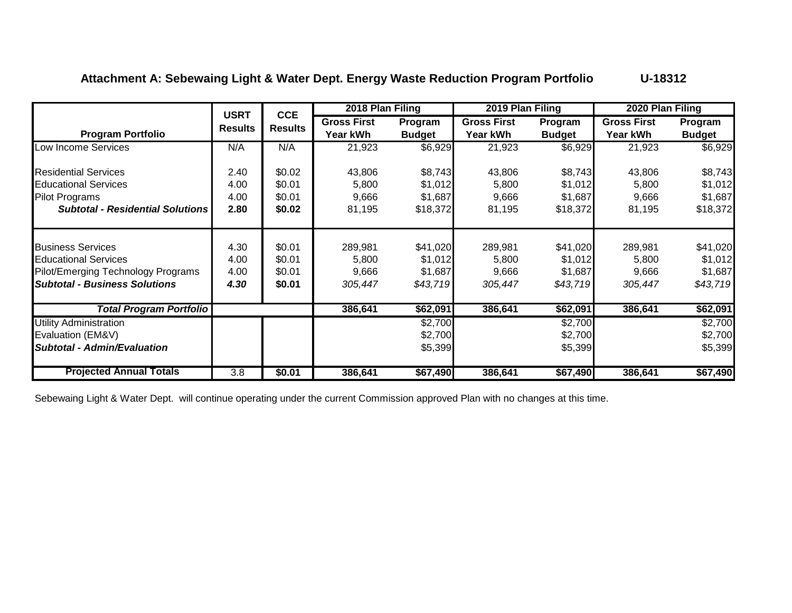## **Attachment A: Sebewaing Light & Water Dept. Energy Waste Reduction Program Portfolio U-18312**

|                                         | <b>USRT</b>      | <b>CCE</b>     | 2018 Plan Filing   |               | 2019 Plan Filing   |               | 2020 Plan Filing   |               |
|-----------------------------------------|------------------|----------------|--------------------|---------------|--------------------|---------------|--------------------|---------------|
|                                         | <b>Results</b>   | <b>Results</b> | <b>Gross First</b> | Program       | <b>Gross First</b> | Program       | <b>Gross First</b> | Program       |
| <b>Program Portfolio</b>                |                  |                | Year kWh           | <b>Budget</b> | Year kWh           | <b>Budget</b> | Year kWh           | <b>Budget</b> |
| Low Income Services                     | N/A              | N/A            | 21,923             | \$6,929       | 21,923             | \$6,929       | 21,923             | \$6,929       |
| <b>Residential Services</b>             | 2.40             | \$0.02         | 43,806             | \$8,743       | 43,806             | \$8,743       | 43,806             | \$8,743       |
| <b>Educational Services</b>             | 4.00             | \$0.01         | 5,800              | \$1,012       | 5,800              | \$1,012       | 5,800              | \$1,012       |
| Pilot Programs                          | 4.00             | \$0.01         | 9,666              | \$1,687       | 9,666              | \$1,687       | 9,666              | \$1,687       |
| <b>Subtotal - Residential Solutions</b> | 2.80             | \$0.02         | 81,195             | \$18,372      | 81,195             | \$18,372      | 81,195             | \$18,372      |
|                                         |                  |                |                    |               |                    |               |                    |               |
| <b>Business Services</b>                | 4.30             | \$0.01         | 289,981            | \$41,020      | 289,981            | \$41,020      | 289,981            | \$41,020      |
| <b>Educational Services</b>             | 4.00             | \$0.01         | 5,800              | \$1,012       | 5,800              | \$1,012       | 5,800              | \$1,012       |
| Pilot/Emerging Technology Programs      | 4.00             | \$0.01         | 9,666              | \$1,687       | 9,666              | \$1,687       | 9,666              | \$1,687       |
| <b>Subtotal - Business Solutions</b>    | 4.30             | \$0.01         | 305,447            | \$43,719      | 305,447            | \$43,719      | 305,447            | \$43,719      |
| <b>Total Program Portfolio</b>          |                  |                | 386,641            | \$62,091      | 386,641            | \$62,091      | 386,641            | \$62,091      |
| <b>Utility Administration</b>           |                  |                |                    | \$2,700       |                    | \$2,700       |                    | \$2,700       |
| Evaluation (EM&V)                       |                  |                |                    | \$2,700       |                    | \$2,700       |                    | \$2,700       |
| Subtotal - Admin/Evaluation             |                  |                |                    | \$5,399       |                    | \$5,399       |                    | \$5,399       |
| <b>Projected Annual Totals</b>          | $\overline{3.8}$ | \$0.01         | 386,641            | \$67,490      | 386,641            | \$67,490      | 386,641            | \$67,490      |

Sebewaing Light & Water Dept. will continue operating under the current Commission approved Plan with no changes at this time.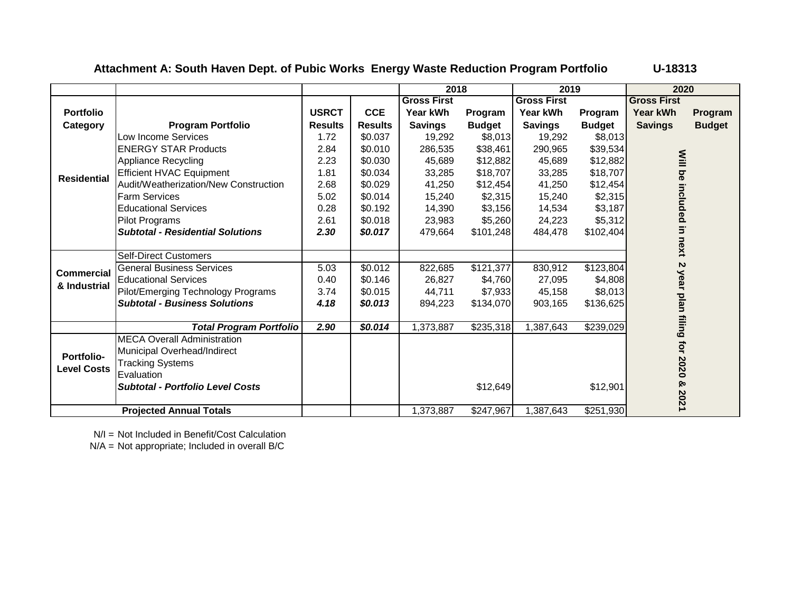**Attachment A: South Haven Dept. of Pubic Works Energy Waste Reduction Program Portfolio U-18313**

|                    |                                         |                |                | 2018               |               | 2019               |               | 2020                      |               |
|--------------------|-----------------------------------------|----------------|----------------|--------------------|---------------|--------------------|---------------|---------------------------|---------------|
|                    |                                         |                |                | <b>Gross First</b> |               | <b>Gross First</b> |               | <b>Gross First</b>        |               |
| <b>Portfolio</b>   |                                         | <b>USRCT</b>   | <b>CCE</b>     | Year kWh           | Program       | Year kWh           | Program       | <b>Year kWh</b>           | Program       |
| Category           | <b>Program Portfolio</b>                | <b>Results</b> | <b>Results</b> | <b>Savings</b>     | <b>Budget</b> | <b>Savings</b>     | <b>Budget</b> | <b>Savings</b>            | <b>Budget</b> |
|                    | Low Income Services                     | 1.72           | \$0.037        | 19,292             | \$8,013       | 19,292             | \$8,013       |                           |               |
|                    | <b>ENERGY STAR Products</b>             | 2.84           | \$0.010        | 286,535            | \$38,461      | 290,965            | \$39,534      |                           |               |
|                    | <b>Appliance Recycling</b>              | 2.23           | \$0.030        | 45,689             | \$12,882      | 45,689             | \$12,882      |                           |               |
| <b>Residential</b> | <b>Efficient HVAC Equipment</b>         | 1.81           | \$0.034        | 33,285             | \$18,707      | 33,285             | \$18,707      |                           |               |
|                    | Audit/Weatherization/New Construction   | 2.68           | \$0.029        | 41,250             | \$12,454      | 41,250             | \$12,454      |                           |               |
|                    | <b>Farm Services</b>                    | 5.02           | \$0.014        | 15,240             | \$2,315       | 15,240             | \$2,315       |                           |               |
|                    | <b>Educational Services</b>             | 0.28           | \$0.192        | 14,390             | \$3,156       | 14,534             | \$3,187       |                           |               |
|                    | <b>Pilot Programs</b>                   | 2.61           | \$0.018        | 23,983             | \$5,260       | 24,223             | \$5,312       |                           |               |
|                    | <b>Subtotal - Residential Solutions</b> | 2.30           | \$0.017        | 479,664            | \$101,248     | 484,478            | \$102,404     |                           |               |
|                    |                                         |                |                |                    |               |                    |               | Will be included in next  |               |
|                    | <b>Self-Direct Customers</b>            |                |                |                    |               |                    |               |                           |               |
| <b>Commercial</b>  | <b>General Business Services</b>        | 5.03           | \$0.012        | 822,685            | \$121,377     | 830,912            | \$123,804     | Z                         |               |
| & Industrial       | <b>Educational Services</b>             | 0.40           | \$0.146        | 26,827             | \$4,760       | 27,095             | \$4,808       |                           |               |
|                    | Pilot/Emerging Technology Programs      | 3.74           | \$0.015        | 44,711             | \$7,933       | 45,158             | \$8,013       |                           |               |
|                    | <b>Subtotal - Business Solutions</b>    | 4.18           | \$0.013        | 894.223            | \$134,070     | 903,165            | \$136,625     |                           |               |
|                    |                                         |                |                |                    |               |                    |               |                           |               |
|                    | <b>Total Program Portfolio</b>          | 2.90           | \$0.014        | ,373,887           | \$235,318     | 1,387,643          | \$239,029     | year plan filing for 2020 |               |
|                    | <b>MECA Overall Administration</b>      |                |                |                    |               |                    |               |                           |               |
| <b>Portfolio-</b>  | Municipal Overhead/Indirect             |                |                |                    |               |                    |               |                           |               |
| <b>Level Costs</b> | <b>Tracking Systems</b>                 |                |                |                    |               |                    |               |                           |               |
|                    | Evaluation                              |                |                |                    |               |                    |               |                           |               |
|                    | <b>Subtotal - Portfolio Level Costs</b> |                |                |                    | \$12,649      |                    | \$12,901      | ନ୍ତ                       |               |
|                    |                                         |                |                |                    |               |                    |               | 2021                      |               |
|                    | <b>Projected Annual Totals</b>          |                |                | 1,373,887          | \$247,967     | 1,387,643          | \$251,930     |                           |               |

N/I = Not Included in Benefit/Cost Calculation

N/A = Not appropriate; Included in overall B/C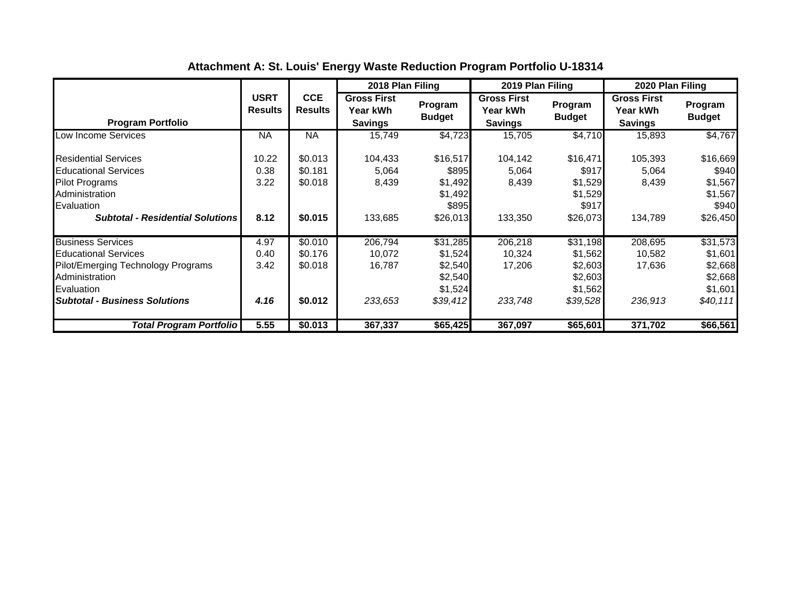|                                                                                                                                                                       |                               |                                          | 2018 Plan Filing                                 |                                                                  | 2019 Plan Filing                                 |                                                                  | 2020 Plan Filing                                        |                                                                  |
|-----------------------------------------------------------------------------------------------------------------------------------------------------------------------|-------------------------------|------------------------------------------|--------------------------------------------------|------------------------------------------------------------------|--------------------------------------------------|------------------------------------------------------------------|---------------------------------------------------------|------------------------------------------------------------------|
| <b>Program Portfolio</b>                                                                                                                                              | <b>USRT</b><br><b>Results</b> | <b>CCE</b><br><b>Results</b>             | <b>Gross First</b><br>Year kWh<br><b>Savings</b> | Program<br><b>Budget</b>                                         | <b>Gross First</b><br>Year kWh<br><b>Savings</b> | Program<br><b>Budget</b>                                         | <b>Gross First</b><br><b>Year kWh</b><br><b>Savings</b> | Program<br><b>Budget</b>                                         |
| Low Income Services                                                                                                                                                   | <b>NA</b>                     | <b>NA</b>                                | 15,749                                           | \$4,723                                                          | 15,705                                           | \$4,710                                                          | 15,893                                                  | \$4,767                                                          |
| <b>Residential Services</b><br><b>Educational Services</b><br><b>Pilot Programs</b><br>Administration<br>Evaluation<br><b>Subtotal - Residential Solutions</b>        | 10.22<br>0.38<br>3.22<br>8.12 | \$0.013<br>\$0.181<br>\$0.018<br>\$0.015 | 104,433<br>5,064<br>8,439<br>133,685             | \$16,517<br>\$895<br>\$1,492<br>\$1,492<br>\$895<br>\$26,013     | 104,142<br>5,064<br>8,439<br>133,350             | \$16,471<br>\$917<br>\$1,529<br>\$1,529<br>\$917<br>\$26,073     | 105,393<br>5,064<br>8,439<br>134,789                    | \$16,669<br>\$940<br>\$1,567<br>\$1,567<br>\$940<br>\$26,450     |
| <b>Business Services</b><br><b>Educational Services</b><br>Pilot/Emerging Technology Programs<br>Administration<br>Evaluation<br><b>Subtotal - Business Solutions</b> | 4.97<br>0.40<br>3.42<br>4.16  | \$0.010<br>\$0.176<br>\$0.018<br>\$0.012 | 206,794<br>10,072<br>16,787<br>233,653           | \$31,285<br>\$1,524<br>\$2,540<br>\$2,540<br>\$1,524<br>\$39,412 | 206,218<br>10,324<br>17,206<br>233,748           | \$31,198<br>\$1,562<br>\$2,603<br>\$2,603<br>\$1,562<br>\$39,528 | 208,695<br>10,582<br>17,636<br>236,913                  | \$31,573<br>\$1,601<br>\$2,668<br>\$2,668<br>\$1,601<br>\$40,111 |
| Total Program Portfolio                                                                                                                                               | 5.55                          | \$0.013                                  | 367,337                                          | \$65,425                                                         | 367,097                                          | \$65,601                                                         | 371,702                                                 | \$66,561                                                         |

**Attachment A: St. Louis' Energy Waste Reduction Program Portfolio U-18314**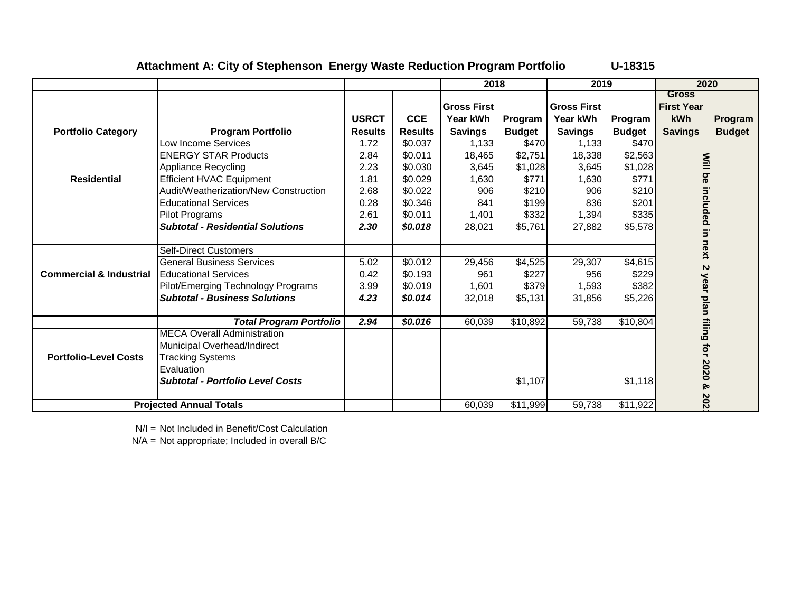|                                    |                                         |                |                | 2018           |               | 2019               |               | 2020                              |               |
|------------------------------------|-----------------------------------------|----------------|----------------|----------------|---------------|--------------------|---------------|-----------------------------------|---------------|
|                                    |                                         |                |                | lGross First   |               | <b>Gross First</b> |               | <b>Gross</b><br><b>First Year</b> |               |
|                                    |                                         | <b>USRCT</b>   | <b>CCE</b>     | Year kWh       | Program       | Year kWh           | Program       | kWh                               | Program       |
| <b>Portfolio Category</b>          | <b>Program Portfolio</b>                | <b>Results</b> | <b>Results</b> | <b>Savings</b> | <b>Budget</b> | <b>Savings</b>     | <b>Budget</b> | <b>Savings</b>                    | <b>Budget</b> |
|                                    | Low Income Services                     | 1.72           | \$0.037        | 1,133          | \$470         | 1,133              | \$470         |                                   |               |
|                                    | <b>ENERGY STAR Products</b>             | 2.84           | \$0.011        | 18,465         | \$2,751       | 18,338             | \$2,563       |                                   |               |
|                                    | Appliance Recycling                     | 2.23           | \$0.030        | 3.645          | \$1,028       | 3,645              | \$1,028       |                                   |               |
| <b>Residential</b>                 | <b>Efficient HVAC Equipment</b>         | 1.81           | \$0.029        | 1,630          | \$771         | 1,630              | \$771         |                                   |               |
|                                    | Audit/Weatherization/New Construction   | 2.68           | \$0.022        | 906            | \$210         | 906                | \$210         |                                   |               |
|                                    | <b>Educational Services</b>             | 0.28           | \$0.346        | 841            | \$199         | 836                | \$201         | Will be included                  |               |
|                                    | <b>Pilot Programs</b>                   | 2.61           | \$0.011        | 1,401          | \$332         | 1,394              | \$335         |                                   |               |
|                                    | <b>Subtotal - Residential Solutions</b> | 2.30           | \$0.018        | 28,021         | \$5,761       | 27,882             | \$5,578       | $\overline{5}$                    |               |
|                                    |                                         |                |                |                |               |                    |               |                                   |               |
|                                    | <b>Self-Direct Customers</b>            |                |                |                |               |                    |               | next                              |               |
|                                    | General Business Services               | 5.02           | \$0.012        | 29,456         | \$4,525       | 29,307             | \$4,615       | $\sim$                            |               |
| <b>Commercial &amp; Industrial</b> | <b>Educational Services</b>             | 0.42           | \$0.193        | 961            | \$227         | 956                | \$229         |                                   |               |
|                                    | Pilot/Emerging Technology Programs      | 3.99           | \$0.019        | 1,601          | \$379         | 1,593              | \$382         |                                   |               |
|                                    | <b>Subtotal - Business Solutions</b>    | 4.23           | \$0.014        | 32,018         | \$5,131       | 31,856             | \$5,226       |                                   |               |
|                                    |                                         |                |                |                |               |                    |               |                                   |               |
|                                    | <b>Total Program Portfolio</b>          | 2.94           | \$0.016        | 60,039         | \$10,892      | 59,738             | \$10,804      | year plan filing for 2020         |               |
|                                    | <b>MECA Overall Administration</b>      |                |                |                |               |                    |               |                                   |               |
|                                    | Municipal Overhead/Indirect             |                |                |                |               |                    |               |                                   |               |
| <b>Portfolio-Level Costs</b>       | <b>Tracking Systems</b>                 |                |                |                |               |                    |               |                                   |               |
|                                    | Evaluation                              |                |                |                |               |                    |               |                                   |               |
|                                    | <b>Subtotal - Portfolio Level Costs</b> |                |                |                | \$1,107       |                    | \$1,118       | ଡ                                 |               |
|                                    |                                         |                |                |                |               |                    |               |                                   |               |
|                                    | <b>Projected Annual Totals</b>          |                |                | 60,039         | \$11,999      | 59,738             | \$11,922      | 202                               |               |

## **Attachment A: City of Stephenson Energy Waste Reduction Program Portfolio U-18315**

N/I = Not Included in Benefit/Cost Calculation

N/A = Not appropriate; Included in overall B/C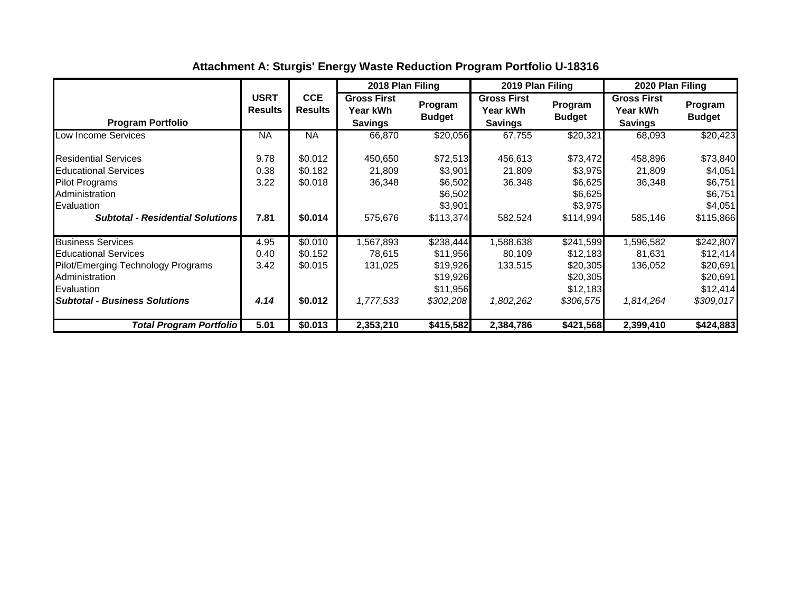|                                                                                                                                                                       |                               |                                          | 2018 Plan Filing                                 |                                                                        | 2019 Plan Filing                                 |                                                                        | 2020 Plan Filing                                        |                                                                        |
|-----------------------------------------------------------------------------------------------------------------------------------------------------------------------|-------------------------------|------------------------------------------|--------------------------------------------------|------------------------------------------------------------------------|--------------------------------------------------|------------------------------------------------------------------------|---------------------------------------------------------|------------------------------------------------------------------------|
| <b>Program Portfolio</b>                                                                                                                                              | <b>USRT</b><br><b>Results</b> | <b>CCE</b><br><b>Results</b>             | <b>Gross First</b><br>Year kWh<br><b>Savings</b> | Program<br><b>Budget</b>                                               | <b>Gross First</b><br>Year kWh<br><b>Savings</b> | Program<br><b>Budget</b>                                               | <b>Gross First</b><br><b>Year kWh</b><br><b>Savings</b> | Program<br><b>Budget</b>                                               |
| Low Income Services                                                                                                                                                   | <b>NA</b>                     | NA                                       | 66,870                                           | \$20,056                                                               | 67,755                                           | \$20,321                                                               | 68,093                                                  | \$20,423                                                               |
| <b>Residential Services</b><br><b>Educational Services</b><br><b>Pilot Programs</b><br>Administration<br>Evaluation<br><b>Subtotal - Residential Solutions</b>        | 9.78<br>0.38<br>3.22<br>7.81  | \$0.012<br>\$0.182<br>\$0.018<br>\$0.014 | 450,650<br>21,809<br>36,348<br>575,676           | \$72,513<br>\$3,901<br>\$6,502<br>\$6,502<br>\$3,901<br>\$113,374      | 456,613<br>21,809<br>36,348<br>582,524           | \$73,472<br>\$3,975<br>\$6,625<br>\$6,625<br>\$3,975<br>\$114,994      | 458,896<br>21,809<br>36,348<br>585,146                  | \$73,840<br>\$4,051<br>\$6,751<br>\$6,751<br>\$4,051<br>\$115,866      |
| <b>Business Services</b><br><b>Educational Services</b><br>Pilot/Emerging Technology Programs<br>Administration<br>Evaluation<br><b>Subtotal - Business Solutions</b> | 4.95<br>0.40<br>3.42<br>4.14  | \$0.010<br>\$0.152<br>\$0.015<br>\$0.012 | 1,567,893<br>78,615<br>131,025<br>1,777,533      | \$238,444<br>\$11,956<br>\$19,926<br>\$19,926<br>\$11,956<br>\$302,208 | ,588,638<br>80,109<br>133,515<br>1,802,262       | \$241,599<br>\$12,183<br>\$20,305<br>\$20,305<br>\$12,183<br>\$306,575 | 1,596,582<br>81,631<br>136,052<br>1,814,264             | \$242,807<br>\$12,414<br>\$20,691<br>\$20,691<br>\$12,414<br>\$309,017 |
| Total Program Portfolio                                                                                                                                               | 5.01                          | \$0.013                                  | 2,353,210                                        | \$415,582                                                              | 2,384,786                                        | \$421,568                                                              | 2,399,410                                               | \$424,883                                                              |

# **Attachment A: Sturgis' Energy Waste Reduction Program Portfolio U-18316**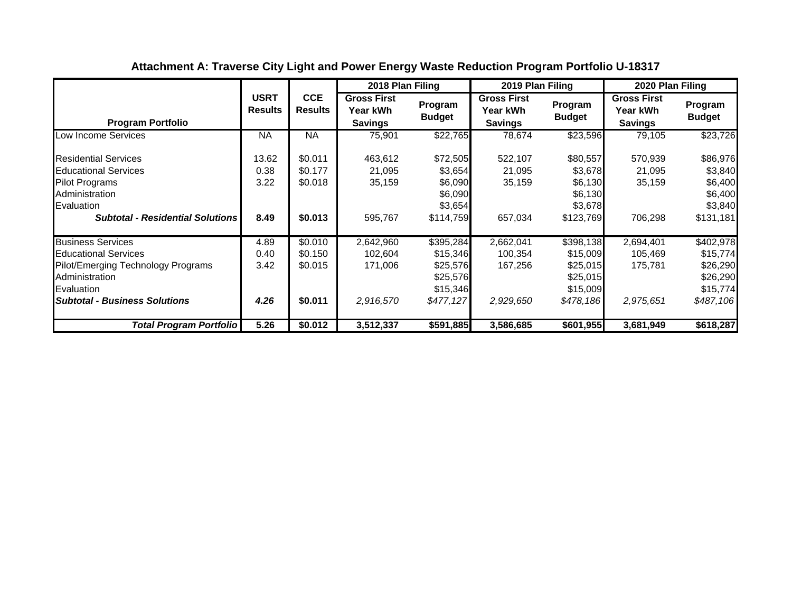|                                                                                                                                                                       |                               |                                          | 2018 Plan Filing                                 |                                                                        | 2019 Plan Filing                                 |                                                                        | 2020 Plan Filing                                        |                                                                        |
|-----------------------------------------------------------------------------------------------------------------------------------------------------------------------|-------------------------------|------------------------------------------|--------------------------------------------------|------------------------------------------------------------------------|--------------------------------------------------|------------------------------------------------------------------------|---------------------------------------------------------|------------------------------------------------------------------------|
| <b>Program Portfolio</b>                                                                                                                                              | <b>USRT</b><br><b>Results</b> | <b>CCE</b><br><b>Results</b>             | <b>Gross First</b><br>Year kWh<br><b>Savings</b> | Program<br><b>Budget</b>                                               | <b>Gross First</b><br>Year kWh<br><b>Savings</b> | Program<br><b>Budget</b>                                               | <b>Gross First</b><br><b>Year kWh</b><br><b>Savings</b> | Program<br><b>Budget</b>                                               |
| Low Income Services                                                                                                                                                   | <b>NA</b>                     | <b>NA</b>                                | 75,901                                           | \$22,765                                                               | 78,674                                           | \$23,596                                                               | 79,105                                                  | \$23,726                                                               |
| <b>Residential Services</b><br><b>Educational Services</b><br><b>Pilot Programs</b><br>Administration<br>Evaluation<br><b>Subtotal - Residential Solutions</b>        | 13.62<br>0.38<br>3.22<br>8.49 | \$0.011<br>\$0.177<br>\$0.018<br>\$0.013 | 463,612<br>21,095<br>35,159<br>595,767           | \$72,505<br>\$3,654<br>\$6,090<br>\$6,090<br>\$3,654<br>\$114,759      | 522,107<br>21,095<br>35,159<br>657,034           | \$80,557<br>\$3,678<br>\$6,130<br>\$6,130<br>\$3,678<br>\$123,769      | 570,939<br>21,095<br>35,159<br>706,298                  | \$86,976<br>\$3,840<br>\$6,400<br>\$6,400<br>\$3,840<br>\$131,181      |
| <b>Business Services</b><br><b>Educational Services</b><br>Pilot/Emerging Technology Programs<br>Administration<br>Evaluation<br><b>Subtotal - Business Solutions</b> | 4.89<br>0.40<br>3.42<br>4.26  | \$0.010<br>\$0.150<br>\$0.015<br>\$0.011 | 2,642,960<br>102,604<br>171,006<br>2,916,570     | \$395,284<br>\$15,346<br>\$25,576<br>\$25,576<br>\$15,346<br>\$477,127 | 2,662,041<br>100,354<br>167,256<br>2,929,650     | \$398,138<br>\$15,009<br>\$25,015<br>\$25,015<br>\$15,009<br>\$478,186 | 2,694,401<br>105,469<br>175,781<br>2,975,651            | \$402,978<br>\$15,774<br>\$26,290<br>\$26,290<br>\$15,774<br>\$487,106 |
| Total Program Portfolio                                                                                                                                               | 5.26                          | \$0.012                                  | 3,512,337                                        | \$591,885                                                              | 3,586,685                                        | \$601,955                                                              | 3,681,949                                               | \$618,287                                                              |

# **Attachment A: Traverse City Light and Power Energy Waste Reduction Program Portfolio U-18317**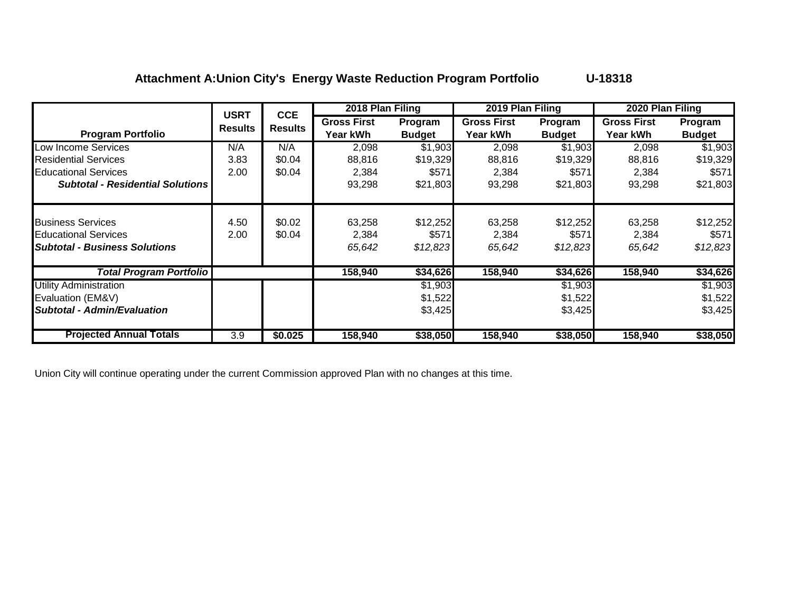## **Attachment A:Union City's Energy Waste Reduction Program Portfolio U-18318**

|                                                                                                 | <b>USRT</b>    | <b>CCE</b>       | 2018 Plan Filing          |                               | 2019 Plan Filing          |                               | 2020 Plan Filing          |                               |
|-------------------------------------------------------------------------------------------------|----------------|------------------|---------------------------|-------------------------------|---------------------------|-------------------------------|---------------------------|-------------------------------|
|                                                                                                 | <b>Results</b> | <b>Results</b>   | <b>Gross First</b>        | Program                       | <b>Gross First</b>        | Program                       | <b>Gross First</b>        | Program                       |
| <b>Program Portfolio</b>                                                                        |                |                  | Year kWh                  | <b>Budget</b>                 | Year kWh                  | <b>Budget</b>                 | <b>Year kWh</b>           | <b>Budget</b>                 |
| Low Income Services                                                                             | N/A            | N/A              | 2,098                     | \$1,903                       | 2,098                     | \$1,903                       | 2,098                     | \$1,903                       |
| <b>Residential Services</b>                                                                     | 3.83           | \$0.04           | 88,816                    | \$19,329                      | 88,816                    | \$19,329                      | 88,816                    | \$19,329                      |
| <b>Educational Services</b>                                                                     | 2.00           | \$0.04           | 2,384                     | \$571                         | 2,384                     | \$571                         | 2,384                     | \$571                         |
| <b>Subtotal - Residential Solutions</b>                                                         |                |                  | 93,298                    | \$21,803                      | 93,298                    | \$21,803                      | 93,298                    | \$21,803                      |
| <b>Business Services</b><br><b>Educational Services</b><br><b>Subtotal - Business Solutions</b> | 4.50<br>2.00   | \$0.02<br>\$0.04 | 63,258<br>2,384<br>65,642 | \$12,252<br>\$571<br>\$12,823 | 63,258<br>2,384<br>65,642 | \$12,252<br>\$571<br>\$12,823 | 63,258<br>2,384<br>65,642 | \$12,252<br>\$571<br>\$12,823 |
| <b>Total Program Portfolio</b>                                                                  |                |                  | 158,940                   | \$34,626                      | 158,940                   | \$34,626                      | 158,940                   | \$34,626                      |
| <b>Utility Administration</b>                                                                   |                |                  |                           | \$1,903                       |                           | \$1,903                       |                           | \$1,903                       |
| Evaluation (EM&V)                                                                               |                |                  |                           | \$1,522                       |                           | \$1,522                       |                           | \$1,522                       |
| <b>Subtotal - Admin/Evaluation</b>                                                              |                |                  |                           | \$3,425                       |                           | \$3,425                       |                           | \$3,425                       |
| <b>Projected Annual Totals</b>                                                                  | 3.9            | \$0.025          | 158,940                   | \$38,050                      | 158,940                   | \$38,050                      | 158,940                   | \$38,050                      |

Union City will continue operating under the current Commission approved Plan with no changes at this time.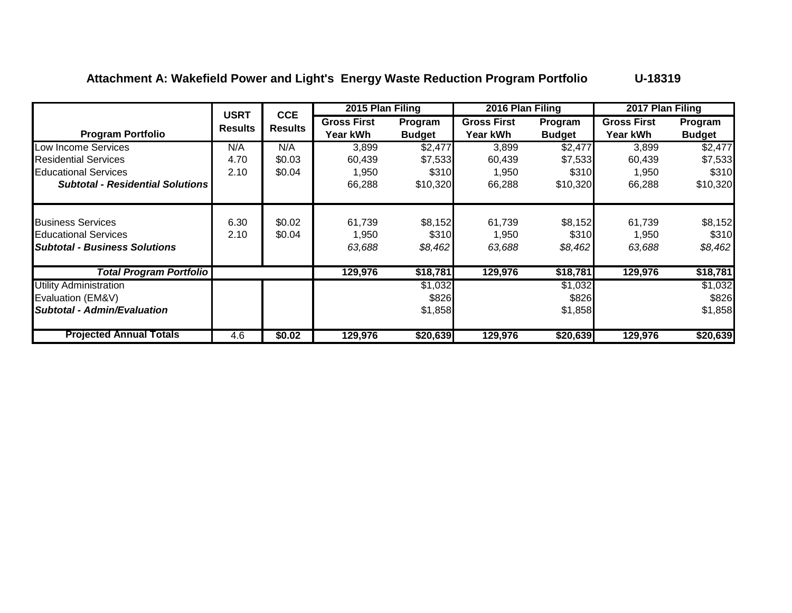# Attachment A: Wakefield Power and Light's Energy Waste Reduction Program Portfolio **U-18319**

|                                                                                                 | <b>USRT</b>    | <b>CCE</b>       | 2015 Plan Filing               |                             | 2016 Plan Filing               |                             | 2017 Plan Filing               |                             |
|-------------------------------------------------------------------------------------------------|----------------|------------------|--------------------------------|-----------------------------|--------------------------------|-----------------------------|--------------------------------|-----------------------------|
| <b>Program Portfolio</b>                                                                        | <b>Results</b> | <b>Results</b>   | <b>Gross First</b><br>Year kWh | Program<br><b>Budget</b>    | <b>Gross First</b><br>Year kWh | Program<br><b>Budget</b>    | <b>Gross First</b><br>Year kWh | Program<br><b>Budget</b>    |
| Low Income Services                                                                             | N/A            | N/A              | 3,899                          | \$2,477                     | 3,899                          | \$2,477                     | 3,899                          | \$2,477                     |
| <b>Residential Services</b>                                                                     | 4.70           | \$0.03           | 60,439                         | \$7,533                     | 60,439                         | \$7,533                     | 60,439                         | \$7,533                     |
| <b>Educational Services</b>                                                                     | 2.10           | \$0.04           | 1,950                          | \$310                       | 1,950                          | \$310                       | 1,950                          | \$310                       |
| <b>Subtotal - Residential Solutions</b>                                                         |                |                  | 66,288                         | \$10,320                    | 66,288                         | \$10,320                    | 66,288                         | \$10,320                    |
| <b>Business Services</b><br><b>Educational Services</b><br><b>Subtotal - Business Solutions</b> | 6.30<br>2.10   | \$0.02<br>\$0.04 | 61,739<br>1,950<br>63,688      | \$8,152<br>\$310<br>\$8,462 | 61,739<br>1,950<br>63,688      | \$8,152<br>\$310<br>\$8,462 | 61,739<br>1,950<br>63,688      | \$8,152<br>\$310<br>\$8,462 |
| <b>Total Program Portfolio</b>                                                                  |                |                  | 129,976                        | \$18,781                    | 129,976                        | \$18,781                    | 129,976                        | \$18,781                    |
| <b>Utility Administration</b><br>Evaluation (EM&V)<br><b>Subtotal - Admin/Evaluation</b>        |                |                  |                                | \$1,032<br>\$826<br>\$1,858 |                                | \$1,032<br>\$826<br>\$1,858 |                                | \$1,032<br>\$826<br>\$1,858 |
| <b>Projected Annual Totals</b>                                                                  | 4.6            | \$0.02           | 129,976                        | \$20,639                    | 129,976                        | \$20,639                    | 129,976                        | \$20,639                    |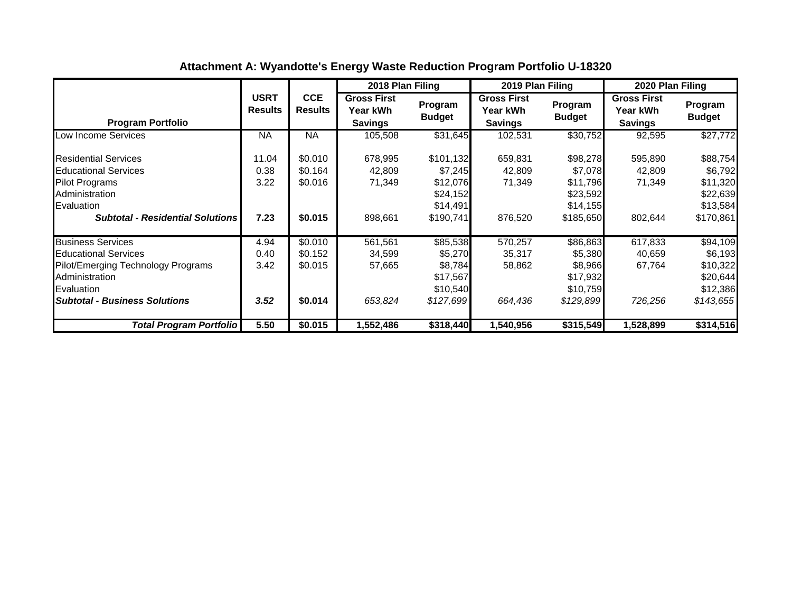|                                                                                                                                                                       |                               |                                          | 2018 Plan Filing                                 |                                                                       | 2019 Plan Filing                                 |                                                                      | 2020 Plan Filing                                        |                                                                      |
|-----------------------------------------------------------------------------------------------------------------------------------------------------------------------|-------------------------------|------------------------------------------|--------------------------------------------------|-----------------------------------------------------------------------|--------------------------------------------------|----------------------------------------------------------------------|---------------------------------------------------------|----------------------------------------------------------------------|
| <b>Program Portfolio</b>                                                                                                                                              | <b>USRT</b><br><b>Results</b> | <b>CCE</b><br><b>Results</b>             | <b>Gross First</b><br>Year kWh<br><b>Savings</b> | Program<br><b>Budget</b>                                              | <b>Gross First</b><br>Year kWh<br><b>Savings</b> | Program<br><b>Budget</b>                                             | <b>Gross First</b><br><b>Year kWh</b><br><b>Savings</b> | Program<br><b>Budget</b>                                             |
| Low Income Services                                                                                                                                                   | <b>NA</b>                     | <b>NA</b>                                | 105,508                                          | \$31,645                                                              | 102,531                                          | \$30,752                                                             | 92,595                                                  | \$27,772                                                             |
| <b>Residential Services</b><br><b>Educational Services</b><br><b>Pilot Programs</b><br>Administration<br>Evaluation<br><b>Subtotal - Residential Solutions</b>        | 11.04<br>0.38<br>3.22<br>7.23 | \$0.010<br>\$0.164<br>\$0.016<br>\$0.015 | 678,995<br>42,809<br>71,349<br>898.661           | \$101,132<br>\$7,245<br>\$12,076<br>\$24,152<br>\$14,491<br>\$190,741 | 659,831<br>42,809<br>71,349<br>876,520           | \$98,278<br>\$7,078<br>\$11,796<br>\$23,592<br>\$14,155<br>\$185,650 | 595,890<br>42,809<br>71,349<br>802,644                  | \$88,754<br>\$6,792<br>\$11,320<br>\$22,639<br>\$13,584<br>\$170,861 |
| <b>Business Services</b><br><b>Educational Services</b><br>Pilot/Emerging Technology Programs<br>Administration<br>Evaluation<br><b>Subtotal - Business Solutions</b> | 4.94<br>0.40<br>3.42<br>3.52  | \$0.010<br>\$0.152<br>\$0.015<br>\$0.014 | 561,561<br>34,599<br>57,665<br>653,824           | \$85,538<br>\$5,270<br>\$8,784<br>\$17,567<br>\$10,540<br>\$127,699   | 570,257<br>35,317<br>58,862<br>664,436           | \$86,863<br>\$5,380<br>\$8,966<br>\$17,932<br>\$10,759<br>\$129,899  | 617,833<br>40,659<br>67,764<br>726,256                  | \$94,109<br>\$6,193<br>\$10,322<br>\$20,644<br>\$12,386<br>\$143,655 |
| Total Program Portfolio                                                                                                                                               | 5.50                          | \$0.015                                  | 1,552,486                                        | \$318,440                                                             | 1,540,956                                        | \$315,549                                                            | 1,528,899                                               | \$314,516                                                            |

# **Attachment A: Wyandotte's Energy Waste Reduction Program Portfolio U-18320**